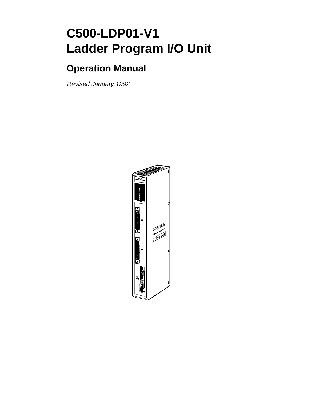# **C500-LDP01-V1 Ladder Program I/O Unit**

# **Operation Manual**

Revised January 1992

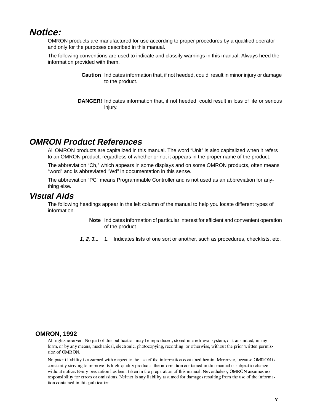#### **Notice:**

OMRON products are manufactured for use according to proper procedures by a qualified operator and only for the purposes described in this manual.

The following conventions are used to indicate and classify warnings in this manual. Always heed the information provided with them.

- **Caution** Indicates information that, if not heeded, could result in minor injury or damage to the product.
- **DANGER!** Indicates information that, if not heeded, could result in loss of life or serious injury.

#### **OMRON Product References**

All OMRON products are capitalized in this manual. The word "Unit" is also capitalized when it refers to an OMRON product, regardless of whether or not it appears in the proper name of the product.

The abbreviation "Ch," which appears in some displays and on some OMRON products, often means "word" and is abbreviated "Wd" in documentation in this sense.

The abbreviation "PC" means Programmable Controller and is not used as an abbreviation for anything else.

#### **Visual Aids**

The following headings appear in the left column of the manual to help you locate different types of information.

> **Note** Indicates information of particular interest for efficient and convenient operation of the product.

**1, 2, 3...** 1. Indicates lists of one sort or another, such as procedures, checklists, etc.

#### **OMRON, 1992**

All rights reserved. No part of this publication may be reproduced, stored in a retrieval system, or transmitted, in any form, or by any means, mechanical, electronic, photocopying, recording, or otherwise, without the prior written permission of OMRON.

No patent liability is assumed with respect to the use of the information contained herein. Moreover, because OMRON is constantly striving to improve its high-quality products, the information contained in this manual is subject to change without notice. Every precaution has been taken in the preparation of this manual. Nevertheless, OMRON assumes no responsibility for errors or omissions. Neither is any liability assumed for damages resulting from the use of the information contained in this publication.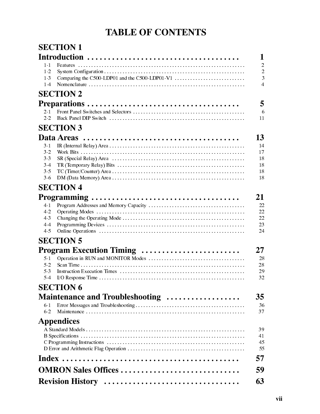# **TABLE OF CONTENTS**

|                                                         | <b>SECTION 1</b>                                 |
|---------------------------------------------------------|--------------------------------------------------|
|                                                         | 1                                                |
| $1 - 1$<br>$1 - 2$<br>$1-3$<br>$1-4$                    | Comparing the C500-LDP01 and the C500-LDP01-V1   |
|                                                         | <b>SECTION 2</b>                                 |
|                                                         | 5                                                |
| 2.1<br>22                                               | 6<br>11                                          |
|                                                         | <b>SECTION 3</b>                                 |
| $3-1$<br>3.2<br>3 <sub>3</sub><br>$3-4$<br>3.5<br>$3-6$ | 13<br>14<br>17<br>18<br>18<br>18<br>18           |
|                                                         | <b>SECTION 4</b>                                 |
|                                                         | 21                                               |
| $4-1$<br>$4-2$<br>$4-3$<br>$4 - 4$<br>4.5               | 22<br>22<br>22<br>23<br>24                       |
|                                                         | <b>SECTION 5</b>                                 |
|                                                         | 27                                               |
| 5 1<br>5 <sub>2</sub><br>5 <sub>3</sub><br>$5-4$        | Program Execution Timing<br>28<br>28<br>29<br>32 |
|                                                         | <b>SECTION 6</b>                                 |
|                                                         | 35<br>Maintenance and Troubleshooting            |
| 61<br>62                                                | 36<br>37                                         |
|                                                         | <b>Appendices</b>                                |
|                                                         | 39<br>41<br>45<br>55                             |
|                                                         | 57                                               |
|                                                         | <b>OMRON Sales Offices </b><br>59                |
|                                                         | 63                                               |
|                                                         |                                                  |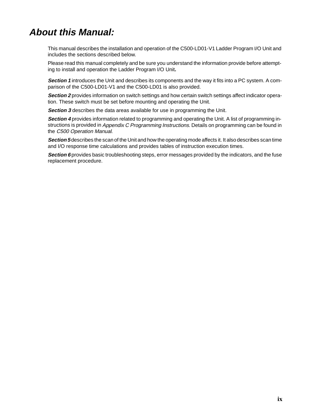# **About this Manual:**

This manual describes the installation and operation of the C500-LD01-V1 Ladder Program I/O Unit and includes the sections described below.

Please read this manual completely and be sure you understand the information provide before attempting to install and operation the Ladder Program I/O Unit**.**

**Section 1** introduces the Unit and describes its components and the way it fits into a PC system. A comparison of the C500-LD01-V1 and the C500-LD01 is also provided.

**Section 2** provides information on switch settings and how certain switch settings affect indicator operation. These switch must be set before mounting and operating the Unit.

**Section 3** describes the data areas available for use in programming the Unit.

**Section 4** provides information related to programming and operating the Unit. A list of programming instructions is provided in Appendix C Programming Instructions. Details on programming can be found in the C500 Operation Manual.

**Section 5** describes the scan of the Unit and how the operating mode affects it. It also describes scan time and I/O response time calculations and provides tables of instruction execution times.

**Section 6** provides basic troubleshooting steps, error messages provided by the indicators, and the fuse replacement procedure.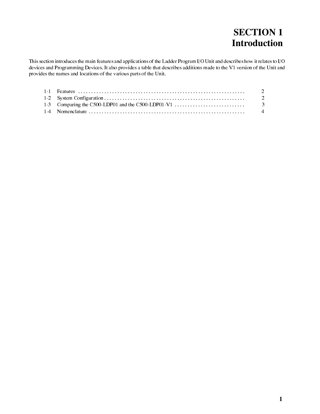# **SECTION 1 Introduction**

This section introduces the main features and applications of the Ladder Program I/O Unit and describes how it relates to I/O devices and Programming Devices. It also provides a table that describes additions made to the V1 version of the Unit and provides the names and locations of the various parts of the Unit.

| 1-3 Comparing the C500-LDP01 and the C500-LDP01-V1 $\dots$ $\dots$ $\dots$ $\dots$ $\dots$ |  |
|--------------------------------------------------------------------------------------------|--|
|                                                                                            |  |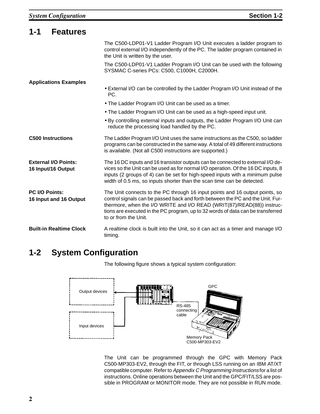| $1 - 1$<br><b>Features</b>                        |                                                                                                                                                                                                                                                                                                                                                     |
|---------------------------------------------------|-----------------------------------------------------------------------------------------------------------------------------------------------------------------------------------------------------------------------------------------------------------------------------------------------------------------------------------------------------|
|                                                   | The C500-LDP01-V1 Ladder Program I/O Unit executes a ladder program to<br>control external I/O independently of the PC. The ladder program contained in<br>the Unit is written by the user.                                                                                                                                                         |
|                                                   | The C500-LDP01-V1 Ladder Program I/O Unit can be used with the following<br>SYSMAC C-series PCs: C500, C1000H, C2000H.                                                                                                                                                                                                                              |
| <b>Applications Examples</b>                      |                                                                                                                                                                                                                                                                                                                                                     |
|                                                   | • External I/O can be controlled by the Ladder Program I/O Unit instead of the<br>PC.                                                                                                                                                                                                                                                               |
|                                                   | . The Ladder Program I/O Unit can be used as a timer.                                                                                                                                                                                                                                                                                               |
|                                                   | • The Ladder Program I/O Unit can be used as a high-speed input unit.                                                                                                                                                                                                                                                                               |
|                                                   | • By controlling external inputs and outputs, the Ladder Program I/O Unit can<br>reduce the processing load handled by the PC.                                                                                                                                                                                                                      |
| <b>C500 Instructions</b>                          | The Ladder Program I/O Unit uses the same instructions as the C500, so ladder<br>programs can be constructed in the same way. A total of 49 different instructions<br>is available. (Not all C500 instructions are supported.)                                                                                                                      |
| <b>External I/O Points:</b><br>16 Input/16 Output | The 16 DC inputs and 16 transistor outputs can be connected to external I/O de-<br>vices so the Unit can be used as for normal I/O operation. Of the 16 DC inputs, 8<br>inputs (2 groups of 4) can be set for high-speed inputs with a minimum pulse<br>width of 0.5 ms, so inputs shorter than the scan time can be detected.                      |
| PC I/O Points:<br>16 Input and 16 Output          | The Unit connects to the PC through 16 input points and 16 output points, so<br>control signals can be passed back and forth between the PC and the Unit. Fur-<br>thermore, when the I/O WRITE and I/O READ (WRIT(87)/READ(88)) instruc-<br>tions are executed in the PC program, up to 32 words of data can be transferred<br>to or from the Unit. |
| <b>Built-in Realtime Clock</b>                    | A realtime clock is built into the Unit, so it can act as a timer and manage I/O<br>timing.                                                                                                                                                                                                                                                         |

## **1-2 System Configuration**

The following figure shows a typical system configuration:



The Unit can be programmed through the GPC with Memory Pack C500-MP303-EV2, through the FIT, or through LSS running on an IBM AT/XT compatible computer. Refer to Appendix C Programming Instructions for a list of instructions. Online operations between the Unit and the GPC/FIT/LSS are possible in PROGRAM or MONITOR mode. They are not possible in RUN mode.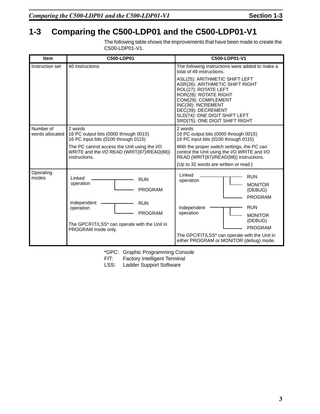## **1-3 Comparing the C500-LDP01 and the C500-LDP01-V1**

The following table shows the improvements that have been made to create the C500-LDP01-V1.

| <b>Item</b>                  | C500-LDP01                                                                                                                                                                                             | C500-LDP01-V1                                                                                                                                                                                                                                                              |
|------------------------------|--------------------------------------------------------------------------------------------------------------------------------------------------------------------------------------------------------|----------------------------------------------------------------------------------------------------------------------------------------------------------------------------------------------------------------------------------------------------------------------------|
| Instruction set              | 40 instructions                                                                                                                                                                                        | The following instructions were added to make a<br>total of 49 instructions.                                                                                                                                                                                               |
|                              |                                                                                                                                                                                                        | ASL(25): ARITHMETIC SHIFT LEFT<br>ASR(26): ARITHMETIC SHIFT RIGHT<br>ROL(27): ROTATE LEFT<br>ROR(28): ROTATE RIGHT<br>COM(29): COMPLEMENT<br>INC(38): INCREMENT<br>DEC(39): DECREMENT<br>SLD(74): ONE DIGIT SHIFT LEFT<br>SRD(75): ONE DIGIT SHIFT RIGHT                   |
| Number of<br>words allocated | 2 words<br>16 PC output bits (0000 through 0015)<br>16 PC input bits (0100 through 0115)<br>The PC cannot access the Unit using the I/O<br>WRITE and the I/O READ (WRIT(87)/READ(88))<br>instructions. | 2 words<br>16 PC output bits (0000 through 0015)<br>16 PC input bits (0100 through 0115)<br>With the proper switch settings, the PC can<br>control the Unit using the I/O WRITE and I/O<br>READ (WRIT(87)/READ(88)) instructions.<br>(Up to 32 words are written or read.) |
| Operating<br>modes           | Linked<br><b>RUN</b><br>operation<br><b>PROGRAM</b><br>Independent<br><b>RUN</b><br>operation<br><b>PROGRAM</b><br>The GPC/FIT/LSS* can operate with the Unit in<br>PROGRAM mode only.                 | Linked<br><b>RUN</b><br>operation<br><b>MONITOR</b><br>(DEBUG)<br><b>PROGRAM</b><br><b>RUN</b><br>Independent<br>operation<br><b>MONITOR</b><br>(DEBUG)<br><b>PROGRAM</b>                                                                                                  |
|                              |                                                                                                                                                                                                        | The GPC/FIT/LSS* can operate with the Unit in<br>either PROGRAM or MONITOR (debug) mode.                                                                                                                                                                                   |

\*GPC: Graphic Programming Console

FIT: Factory Intelligent Terminal<br>LSS: Ladder Support Software

Ladder Support Software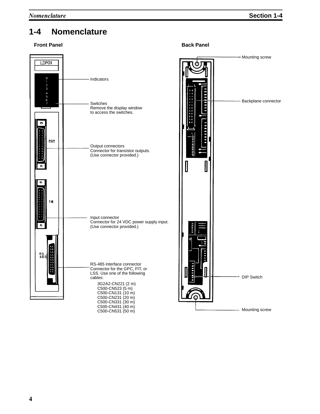## **1-4 Nomenclature**

#### **Front Panel Back Panel Back Panel Back Panel**





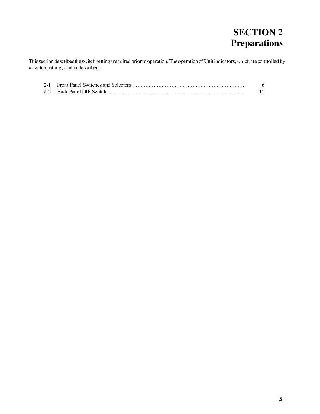# **SECTION 2 Preparations**

This section describes the switch settings required prior to operation. The operation of Unit indicators, which are controlled by a switch setting, is also described.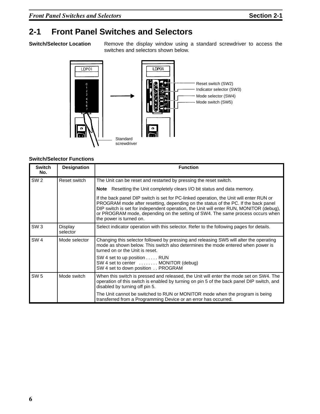### **2-1 Front Panel Switches and Selectors**

**Switch/Selector Location** Remove the display window using a standard screwdriver to access the switches and selectors shown below.



#### **Switch/Selector Functions**

| <b>Switch</b><br>No. | <b>Designation</b>  | <b>Function</b>                                                                                                                                                                                                                                                                                                                                                                      |
|----------------------|---------------------|--------------------------------------------------------------------------------------------------------------------------------------------------------------------------------------------------------------------------------------------------------------------------------------------------------------------------------------------------------------------------------------|
| SW <sub>2</sub>      | Reset switch        | The Unit can be reset and restarted by pressing the reset switch.                                                                                                                                                                                                                                                                                                                    |
|                      |                     | Note Resetting the Unit completely clears I/O bit status and data memory.                                                                                                                                                                                                                                                                                                            |
|                      |                     | If the back panel DIP switch is set for PC-linked operation, the Unit will enter RUN or<br>PROGRAM mode after resetting, depending on the status of the PC. If the back panel<br>DIP switch is set for independent operation, the Unit will enter RUN, MONITOR (debug),<br>or PROGRAM mode, depending on the setting of SW4. The same process occurs when<br>the power is turned on. |
| SW <sub>3</sub>      | Display<br>selector | Select indicator operation with this selector. Refer to the following pages for details.                                                                                                                                                                                                                                                                                             |
| SW <sub>4</sub>      | Mode selector       | Changing this selector followed by pressing and releasing SW5 will alter the operating<br>mode as shown below. This switch also determines the mode entered when power is<br>turned on or the Unit is reset.                                                                                                                                                                         |
|                      |                     | SW 4 set to up position RUN<br>SW 4 set to center  MONITOR (debug)<br>SW 4 set to down position  PROGRAM                                                                                                                                                                                                                                                                             |
| <b>SW 5</b>          | Mode switch         | When this switch is pressed and released, the Unit will enter the mode set on SW4. The<br>operation of this switch is enabled by turning on pin 5 of the back panel DIP switch, and<br>disabled by turning off pin 5.                                                                                                                                                                |
|                      |                     | The Unit cannot be switched to RUN or MONITOR mode when the program is being<br>transferred from a Programming Device or an error has occurred.                                                                                                                                                                                                                                      |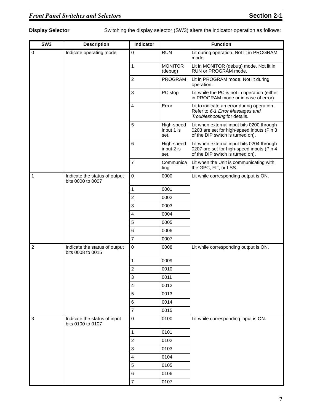**Display Selector** Switching the display selector (SW3) alters the indicator operation as follows:

| SW <sub>3</sub> | <b>Description</b>                                 | Indicator               | <b>Function</b>                  |                                                                                                                            |  |  |  |
|-----------------|----------------------------------------------------|-------------------------|----------------------------------|----------------------------------------------------------------------------------------------------------------------------|--|--|--|
| $\pmb{0}$       | Indicate operating mode                            | 0                       | <b>RUN</b>                       | Lit during operation. Not lit in PROGRAM<br>mode.                                                                          |  |  |  |
|                 |                                                    | $\mathbf 1$             | <b>MONITOR</b><br>(debug)        | Lit in MONITOR (debug) mode. Not lit in<br>RUN or PROGRAM mode.                                                            |  |  |  |
|                 |                                                    | $\overline{c}$          | PROGRAM                          | Lit in PROGRAM mode. Not lit during<br>operation.                                                                          |  |  |  |
|                 |                                                    | 3                       | PC stop                          | Lit while the PC is not in operation (either<br>in PROGRAM mode or in case of error).                                      |  |  |  |
|                 |                                                    | $\overline{4}$          | Error                            | Lit to indicate an error during operation.<br>Refer to 6-1 Error Messages and<br>Troubleshooting for details.              |  |  |  |
|                 |                                                    | 5                       | High-speed<br>input 1 is<br>set. | Lit when external input bits 0200 through<br>0203 are set for high-speed inputs (Pin 3<br>of the DIP switch is turned on). |  |  |  |
|                 |                                                    | 6                       | High-speed<br>input 2 is<br>set. | Lit when external input bits 0204 through<br>0207 are set for high-speed inputs (Pin 4<br>of the DIP switch is turned on). |  |  |  |
|                 |                                                    | $\overline{7}$          | Communica<br>ting                | Lit when the Unit is communicating with<br>the GPC, FIT, or LSS.                                                           |  |  |  |
| 1               | Indicate the status of output<br>bits 0000 to 0007 | 0                       | 0000                             | Lit while corresponding output is ON.                                                                                      |  |  |  |
|                 |                                                    | 1                       | 0001                             |                                                                                                                            |  |  |  |
|                 |                                                    | $\overline{c}$          | 0002                             |                                                                                                                            |  |  |  |
|                 |                                                    | $\,$ 3 $\,$             | 0003                             |                                                                                                                            |  |  |  |
|                 |                                                    | $\overline{\mathbf{4}}$ | 0004                             |                                                                                                                            |  |  |  |
|                 |                                                    | 5                       | 0005                             |                                                                                                                            |  |  |  |
|                 |                                                    | 6                       | 0006                             |                                                                                                                            |  |  |  |
|                 |                                                    | $\overline{7}$          | 0007                             |                                                                                                                            |  |  |  |
| $\overline{c}$  | Indicate the status of output<br>bits 0008 to 0015 | $\mathsf 0$             | 0008                             | Lit while corresponding output is ON.                                                                                      |  |  |  |
|                 |                                                    | $\mathbf 1$             | 0009                             |                                                                                                                            |  |  |  |
|                 |                                                    | $\overline{c}$          | 0010                             |                                                                                                                            |  |  |  |
|                 |                                                    | 3                       | 0011                             |                                                                                                                            |  |  |  |
|                 |                                                    | 4                       | 0012                             |                                                                                                                            |  |  |  |
|                 |                                                    | 5                       | 0013                             |                                                                                                                            |  |  |  |
|                 |                                                    | $\,6$                   | 0014                             |                                                                                                                            |  |  |  |
|                 |                                                    | $\overline{7}$          | 0015                             |                                                                                                                            |  |  |  |
| 3               | Indicate the status of input<br>bits 0100 to 0107  | $\mathsf 0$             | 0100                             | Lit while corresponding input is ON.                                                                                       |  |  |  |
|                 |                                                    | 1                       | 0101                             |                                                                                                                            |  |  |  |
|                 |                                                    | $\sqrt{2}$              | 0102                             |                                                                                                                            |  |  |  |
|                 |                                                    | 3                       | 0103                             |                                                                                                                            |  |  |  |
|                 |                                                    | 4                       | 0104                             |                                                                                                                            |  |  |  |
|                 |                                                    | $\mathbf 5$             | 0105                             |                                                                                                                            |  |  |  |
|                 |                                                    | 6                       | 0106                             |                                                                                                                            |  |  |  |
|                 |                                                    | $\overline{7}$          | 0107                             |                                                                                                                            |  |  |  |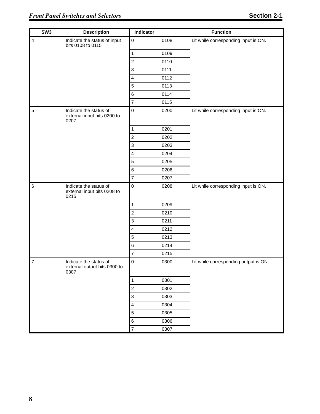| SW3             | <b>Description</b>                                             | Indicator                 |      | <b>Function</b>                       |
|-----------------|----------------------------------------------------------------|---------------------------|------|---------------------------------------|
| $\overline{4}$  | Indicate the status of input<br>bits 0108 to 0115              | $\mathbf 0$               | 0108 | Lit while corresponding input is ON.  |
|                 |                                                                | $\mathbf 1$               | 0109 |                                       |
|                 |                                                                | $\mathbf 2$               | 0110 |                                       |
|                 |                                                                | $\mathsf 3$               | 0111 |                                       |
|                 |                                                                | $\overline{4}$            | 0112 |                                       |
|                 |                                                                | $\sqrt{5}$                | 0113 |                                       |
|                 |                                                                | $\,6$                     | 0114 |                                       |
|                 |                                                                | $\overline{\mathbf{7}}$   | 0115 |                                       |
| $\overline{5}$  | Indicate the status of<br>external input bits 0200 to<br>0207  | $\mathbf 0$               | 0200 | Lit while corresponding input is ON.  |
|                 |                                                                | $\mathbf{1}$              | 0201 |                                       |
|                 |                                                                | $\mathbf 2$               | 0202 |                                       |
|                 |                                                                | $\ensuremath{\mathsf{3}}$ | 0203 |                                       |
|                 |                                                                | $\overline{\mathbf{4}}$   | 0204 |                                       |
|                 |                                                                | $\mathbf 5$               | 0205 |                                       |
|                 |                                                                | $\,6\,$                   | 0206 |                                       |
|                 |                                                                | $\overline{7}$            | 0207 |                                       |
| $6\phantom{1}6$ | Indicate the status of<br>external input bits 0208 to<br>0215  | $\mathbf 0$               | 0208 | Lit while corresponding input is ON.  |
|                 |                                                                | $\mathbf{1}$              | 0209 |                                       |
|                 |                                                                | $\boldsymbol{2}$          | 0210 |                                       |
|                 |                                                                | $\ensuremath{\mathsf{3}}$ | 0211 |                                       |
|                 |                                                                | $\overline{\mathbf{4}}$   | 0212 |                                       |
|                 |                                                                | 5                         | 0213 |                                       |
|                 |                                                                | $\,6\,$                   | 0214 |                                       |
|                 |                                                                | $\overline{\mathbf{7}}$   | 0215 |                                       |
| $\overline{7}$  | Indicate the status of<br>external output bits 0300 to<br>0307 | $\pmb{0}$                 | 0300 | Lit while corresponding output is ON. |
|                 |                                                                | $\mathbf{1}$              | 0301 |                                       |
|                 |                                                                | $\mathbf 2$               | 0302 |                                       |
|                 |                                                                | $\ensuremath{\mathsf{3}}$ | 0303 |                                       |
|                 |                                                                | $\overline{\mathbf{4}}$   | 0304 |                                       |
|                 |                                                                | $\sqrt{5}$                | 0305 |                                       |
|                 |                                                                | $\,6$                     | 0306 |                                       |
|                 |                                                                | $\overline{7}$            | 0307 |                                       |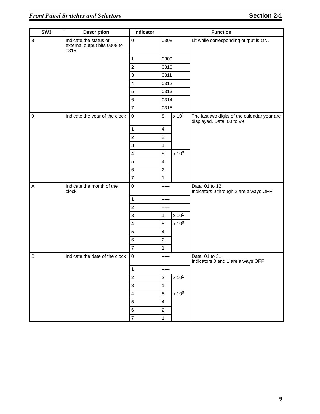| SW3              | <b>Description</b>                                             | Indicator                 |                         | <b>Function</b>   |                                                                           |  |
|------------------|----------------------------------------------------------------|---------------------------|-------------------------|-------------------|---------------------------------------------------------------------------|--|
| $\bf 8$          | Indicate the status of<br>external output bits 0308 to<br>0315 | $\mathsf 0$               | 0308                    |                   | Lit while corresponding output is ON.                                     |  |
|                  |                                                                | $\mathbf{1}$              | 0309                    |                   |                                                                           |  |
|                  |                                                                | $\mathbf 2$               | 0310                    |                   |                                                                           |  |
|                  |                                                                | $\mathsf 3$               | 0311                    |                   |                                                                           |  |
|                  |                                                                | $\overline{4}$            | 0312                    |                   |                                                                           |  |
|                  |                                                                | $\overline{5}$            | 0313                    |                   |                                                                           |  |
|                  |                                                                | $\,6\,$                   | 0314                    |                   |                                                                           |  |
|                  |                                                                | $\overline{7}$            | 0315                    |                   |                                                                           |  |
| $\boldsymbol{9}$ | Indicate the year of the clock                                 | $\mathsf 0$               | 8                       | x 10 <sup>1</sup> | The last two digits of the calendar year are<br>displayed. Data: 00 to 99 |  |
|                  |                                                                | $\mathbf{1}$              | $\overline{4}$          |                   |                                                                           |  |
|                  |                                                                | $\boldsymbol{2}$          | $\overline{2}$          |                   |                                                                           |  |
|                  |                                                                | $\ensuremath{\mathsf{3}}$ | $\mathbf{1}$            |                   |                                                                           |  |
|                  |                                                                | $\overline{\mathbf{4}}$   | 8                       | $x 10^0$          |                                                                           |  |
|                  |                                                                | $\sqrt{5}$                | $\overline{\mathbf{4}}$ |                   |                                                                           |  |
|                  |                                                                | $\,6\,$                   | $\overline{2}$          |                   |                                                                           |  |
|                  |                                                                | $\overline{7}$            | $\mathbf{1}$            |                   |                                                                           |  |
| $\mathsf A$      | Indicate the month of the<br>clock                             | $\mathbf 0$               | ---                     |                   | Data: 01 to 12<br>Indicators 0 through 2 are always OFF.                  |  |
|                  |                                                                | $\mathbf{1}$              | ---                     |                   |                                                                           |  |
|                  |                                                                | $\overline{c}$            | ---                     |                   |                                                                           |  |
|                  |                                                                | $\ensuremath{\mathsf{3}}$ | $\mathbf{1}$            | x 10 <sup>1</sup> |                                                                           |  |
|                  |                                                                | $\overline{\mathbf{4}}$   | 8                       | $x 10^0$          |                                                                           |  |
|                  |                                                                | 5                         | $\overline{4}$          |                   |                                                                           |  |
|                  |                                                                | $\,6\,$                   | $\overline{c}$          |                   |                                                                           |  |
|                  |                                                                | $\overline{7}$            | $\mathbf{1}$            |                   |                                                                           |  |
| $\sf B$          | Indicate the date of the clock                                 | $\mathbf 0$               |                         |                   | Data: 01 to 31<br>Indicators 0 and 1 are always OFF.                      |  |
|                  |                                                                | $\mathbf 1$               |                         |                   |                                                                           |  |
|                  |                                                                | $\boldsymbol{2}$          | $\overline{c}$          | x 10 <sup>1</sup> |                                                                           |  |
|                  |                                                                | $\ensuremath{\mathsf{3}}$ | $\mathbf{1}$            |                   |                                                                           |  |
|                  |                                                                | $\overline{\mathbf{4}}$   | $\bf 8$                 | $x 10^0$          |                                                                           |  |
|                  |                                                                | $\mathbf 5$               | $\overline{4}$          |                   |                                                                           |  |
|                  |                                                                | $\,6$                     | $\overline{c}$          |                   |                                                                           |  |
|                  |                                                                | $\overline{\mathbf{7}}$   | $\mathbf{1}$            |                   |                                                                           |  |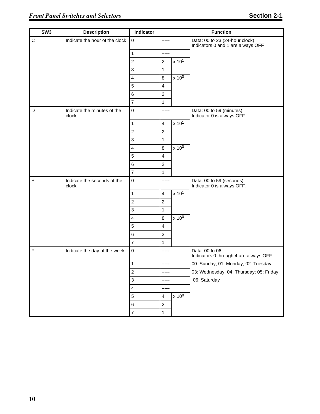| SW <sub>3</sub> | <b>Description</b>                   | Indicator                 |                         | <b>Function</b>   |                                                                      |  |
|-----------------|--------------------------------------|---------------------------|-------------------------|-------------------|----------------------------------------------------------------------|--|
| $\overline{C}$  | Indicate the hour of the clock       | $\pmb{0}$                 |                         |                   | Data: 00 to 23 (24-hour clock)<br>Indicators 0 and 1 are always OFF. |  |
|                 |                                      | $\mathbf{1}$              | ---                     |                   |                                                                      |  |
|                 |                                      | $\overline{c}$            | $\boldsymbol{2}$        | x 10 <sup>1</sup> |                                                                      |  |
|                 |                                      | $\ensuremath{\mathsf{3}}$ | $\mathbf{1}$            |                   |                                                                      |  |
|                 |                                      | $\overline{\mathbf{4}}$   | $\bf 8$                 | $x 10^0$          |                                                                      |  |
|                 |                                      | 5                         | $\overline{4}$          |                   |                                                                      |  |
|                 |                                      | $\,6\,$                   | $\overline{c}$          |                   |                                                                      |  |
|                 |                                      | $\overline{7}$            | $\mathbf{1}$            |                   |                                                                      |  |
| D               | Indicate the minutes of the<br>clock | $\mathbf 0$               | ---                     |                   | Data: 00 to 59 (minutes)<br>Indicator 0 is always OFF.               |  |
|                 |                                      | $\mathbf{1}$              | $\overline{\mathbf{4}}$ | x 10 <sup>1</sup> |                                                                      |  |
|                 |                                      | $\boldsymbol{2}$          | $\overline{c}$          |                   |                                                                      |  |
|                 |                                      | 3                         | $\mathbf{1}$            |                   |                                                                      |  |
|                 |                                      | $\overline{\mathbf{4}}$   | 8                       | $x 10^0$          |                                                                      |  |
|                 |                                      | $\sqrt{5}$                | $\overline{\mathbf{4}}$ |                   |                                                                      |  |
|                 |                                      | $\,6\,$                   | $\boldsymbol{2}$        |                   |                                                                      |  |
|                 |                                      | $\overline{7}$            | $\mathbf{1}$            |                   |                                                                      |  |
| $\mathsf E$     | Indicate the seconds of the<br>clock | $\mathsf 0$               |                         |                   | Data: 00 to 59 (seconds)<br>Indicator 0 is always OFF.               |  |
|                 |                                      | $\mathbf{1}$              | $\overline{4}$          | x 101             |                                                                      |  |
|                 |                                      | $\sqrt{2}$                | $\sqrt{2}$              |                   |                                                                      |  |
|                 |                                      | $\ensuremath{\mathsf{3}}$ | $\mathbf{1}$            |                   |                                                                      |  |
|                 |                                      | $\overline{\mathbf{4}}$   | $\bf 8$                 | $x 10^0$          |                                                                      |  |
|                 |                                      | 5                         | $\overline{4}$          |                   |                                                                      |  |
|                 |                                      | $\,6\,$                   | $\sqrt{2}$              |                   |                                                                      |  |
|                 |                                      | $\overline{7}$            | $\mathbf{1}$            |                   |                                                                      |  |
| $\mathsf F$     | Indicate the day of the week         | $\mathsf 0$               | ---                     |                   | Data: 00 to 06<br>Indicators 0 through 4 are always OFF.             |  |
|                 |                                      | 1                         | ---                     |                   | 00: Sunday; 01: Monday; 02: Tuesday;                                 |  |
|                 |                                      | $\boldsymbol{2}$          | ---                     |                   | 03: Wednesday; 04: Thursday; 05: Friday;                             |  |
|                 |                                      | $\ensuremath{\mathsf{3}}$ | ---                     |                   | 06: Saturday                                                         |  |
|                 |                                      | $\overline{4}$            |                         |                   |                                                                      |  |
|                 |                                      | $\mathbf 5$               | 4                       | $x 10^0$          |                                                                      |  |
|                 |                                      | $\,6\,$                   | $\overline{c}$          |                   |                                                                      |  |
|                 |                                      | $\overline{\mathbf{7}}$   | $\mathbf{1}$            |                   |                                                                      |  |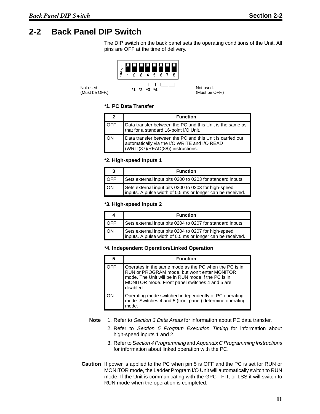### **2-2 Back Panel DIP Switch**

The DIP switch on the back panel sets the operating conditions of the Unit. All pins are OFF at the time of delivery.



#### **\*1. PC Data Transfer**

|            | <b>Function</b>                                                                                                                                |
|------------|------------------------------------------------------------------------------------------------------------------------------------------------|
| <b>OFF</b> | Data transfer between the PC and this Unit is the same as  <br>that for a standard 16-point I/O Unit.                                          |
| λN         | Data transfer between the PC and this Unit is carried out<br>automatically via the I/O WRITE and I/O READ<br>(WRIT(87)/READ(88)) instructions. |

#### **\*2. High-speed Inputs 1**

|            | <b>Function</b>                                                                                                    |
|------------|--------------------------------------------------------------------------------------------------------------------|
| <b>OFF</b> | Sets external input bits 0200 to 0203 for standard inputs.                                                         |
| ON         | Sets external input bits 0200 to 0203 for high-speed<br>inputs. A pulse width of 0.5 ms or longer can be received. |

#### **\*3. High-speed Inputs 2**

|            | <b>Function</b>                                                                                                    |
|------------|--------------------------------------------------------------------------------------------------------------------|
| <b>OFF</b> | Sets external input bits 0204 to 0207 for standard inputs.                                                         |
| ON         | Sets external input bits 0204 to 0207 for high-speed<br>inputs. A pulse width of 0.5 ms or longer can be received. |

#### **\*4. Independent Operation/Linked Operation**

|     | <b>Function</b>                                                                                                                                                                                                            |
|-----|----------------------------------------------------------------------------------------------------------------------------------------------------------------------------------------------------------------------------|
| OFF | Operates in the same mode as the PC when the PC is in<br>RUN or PROGRAM mode, but won't enter MONITOR<br>mode. The Unit will be in RUN mode if the PC is in<br>MONITOR mode. Front panel switches 4 and 5 are<br>disabled. |
|     | Operating mode switched independently of PC operating<br>mode. Switches 4 and 5 (front panel) determine operating<br>mode.                                                                                                 |

- **Note** 1. Refer to Section 3 Data Areas for information about PC data transfer.
	- 2. Refer to Section <sup>5</sup> Program Execution Timing for information about high-speed inputs 1 and 2.
	- 3. Refer to Section <sup>4</sup> Programming and Appendix C Programming Instructions for information about linked operation with the PC.
- **Caution** If power is applied to the PC when pin 5 is OFF and the PC is set for RUN or MONITOR mode, the Ladder Program I/O Unit will automatically switch to RUN mode. If the Unit is communicating with the GPC , FIT, or LSS it will switch to RUN mode when the operation is completed.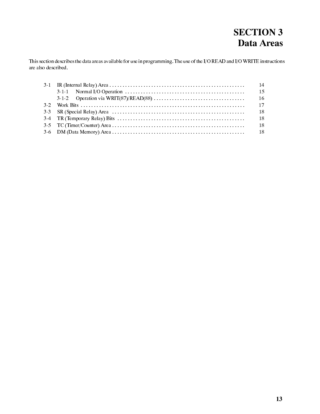# **SECTION 3** Data Areas

This section describes the data areas available for use in programming. The use of the I/O READ and I/O WRITE instructions are also described.

|           |                                                                                                                        | 14  |
|-----------|------------------------------------------------------------------------------------------------------------------------|-----|
|           | 3-1-1 Normal I/O Operation $\dots \dots \dots \dots \dots \dots \dots \dots \dots \dots \dots \dots \dots \dots \dots$ | 15  |
|           |                                                                                                                        | -16 |
| $3\cdot2$ |                                                                                                                        | 17  |
|           |                                                                                                                        | 18  |
|           |                                                                                                                        | 18  |
|           |                                                                                                                        | 18  |
|           |                                                                                                                        | -18 |
|           |                                                                                                                        |     |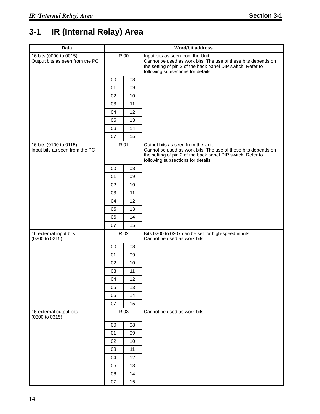# **3-1 IR (Internal Relay) Area**

| <b>Data</b>                                               |              |       | Word/bit address                                                                                                                                                                                         |
|-----------------------------------------------------------|--------------|-------|----------------------------------------------------------------------------------------------------------------------------------------------------------------------------------------------------------|
| 16 bits (0000 to 0015)<br>Output bits as seen from the PC | IR 00        |       | Input bits as seen from the Unit.<br>Cannot be used as work bits. The use of these bits depends on<br>the setting of pin 2 of the back panel DIP switch. Refer to<br>following subsections for details.  |
|                                                           | $00\,$       | 08    |                                                                                                                                                                                                          |
|                                                           | 01           | 09    |                                                                                                                                                                                                          |
|                                                           | 02           | 10    |                                                                                                                                                                                                          |
|                                                           | 03           | 11    |                                                                                                                                                                                                          |
|                                                           | 04           | 12    |                                                                                                                                                                                                          |
|                                                           | 05           | 13    |                                                                                                                                                                                                          |
|                                                           | 06           | 14    |                                                                                                                                                                                                          |
|                                                           | 07           | 15    |                                                                                                                                                                                                          |
| 16 bits (0100 to 0115)<br>Input bits as seen from the PC  | <b>IR 01</b> |       | Output bits as seen from the Unit.<br>Cannot be used as work bits. The use of these bits depends on<br>the setting of pin 2 of the back panel DIP switch. Refer to<br>following subsections for details. |
|                                                           | 00           | 08    |                                                                                                                                                                                                          |
|                                                           | 01           | 09    |                                                                                                                                                                                                          |
|                                                           | 02           | 10    |                                                                                                                                                                                                          |
|                                                           | 03           | 11    |                                                                                                                                                                                                          |
|                                                           | 04           | 12    |                                                                                                                                                                                                          |
|                                                           | 05           | 13    |                                                                                                                                                                                                          |
|                                                           | 06           | 14    |                                                                                                                                                                                                          |
|                                                           | 07           | 15    |                                                                                                                                                                                                          |
| 16 external input bits<br>(0200 to 0215)                  | IR 02        |       | Bits 0200 to 0207 can be set for high-speed inputs.<br>Cannot be used as work bits.                                                                                                                      |
|                                                           | $00\,$       | 08    |                                                                                                                                                                                                          |
|                                                           | 01           | 09    |                                                                                                                                                                                                          |
|                                                           | 02           | 10    |                                                                                                                                                                                                          |
|                                                           | 03           | 11    |                                                                                                                                                                                                          |
|                                                           | 04           | 12    |                                                                                                                                                                                                          |
|                                                           | 05           | 13    |                                                                                                                                                                                                          |
|                                                           | 06           | 14    |                                                                                                                                                                                                          |
|                                                           | 07           | 15    |                                                                                                                                                                                                          |
| 16 external output bits<br>(0300 to 0315)                 |              | IR 03 | Cannot be used as work bits.                                                                                                                                                                             |
|                                                           | 00           | 08    |                                                                                                                                                                                                          |
|                                                           | 01           | 09    |                                                                                                                                                                                                          |
|                                                           | 02           | 10    |                                                                                                                                                                                                          |
|                                                           | 03           | 11    |                                                                                                                                                                                                          |
|                                                           | 04           | 12    |                                                                                                                                                                                                          |
|                                                           | 05           | 13    |                                                                                                                                                                                                          |
|                                                           | 06           | 14    |                                                                                                                                                                                                          |
|                                                           | 07           | 15    |                                                                                                                                                                                                          |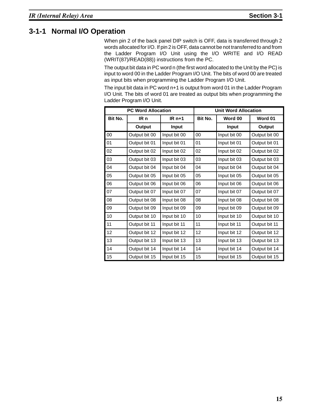#### **3-1-1 Normal I/O Operation**

When pin 2 of the back panel DIP switch is OFF, data is transferred through 2 words allocated for I/O. If pin 2 is OFF, data cannot be not transferred to and from the Ladder Program I/O Unit using the I/O WRITE and I/O READ (WRIT(87)/READ(88)) instructions from the PC.

The output bit data in PC word n (the first word allocated to the Unit by the PC) is input to word 00 in the Ladder Program I/O Unit. The bits of word 00 are treated as input bits when programming the Ladder Program I/O Unit.

The input bit data in PC word n+1 is output from word 01 in the Ladder Program I/O Unit. The bits of word 01 are treated as output bits when programming the Ladder Program I/O Unit.

|         | <b>PC Word Allocation</b> |              | <b>Unit Word Allocation</b> |              |               |  |
|---------|---------------------------|--------------|-----------------------------|--------------|---------------|--|
| Bit No. | IR n                      | $IRn+1$      | Bit No.                     | Word 00      | Word 01       |  |
|         | Output                    | <b>Input</b> |                             | Input        | Output        |  |
| 00      | Output bit 00             | Input bit 00 | 00                          | Input bit 00 | Output bit 00 |  |
| 01      | Output bit 01             | Input bit 01 | 01                          | Input bit 01 | Output bit 01 |  |
| 02      | Output bit 02             | Input bit 02 | 02                          | Input bit 02 | Output bit 02 |  |
| 03      | Output bit 03             | Input bit 03 | 03                          | Input bit 03 | Output bit 03 |  |
| 04      | Output bit 04             | Input bit 04 | 04                          | Input bit 04 | Output bit 04 |  |
| 05      | Output bit 05             | Input bit 05 | 05                          | Input bit 05 | Output bit 05 |  |
| 06      | Output bit 06             | Input bit 06 | 06                          | Input bit 06 | Output bit 06 |  |
| 07      | Output bit 07             | Input bit 07 | 07                          | Input bit 07 | Output bit 07 |  |
| 08      | Output bit 08             | Input bit 08 | 08                          | Input bit 08 | Output bit 08 |  |
| 09      | Output bit 09             | Input bit 09 | 09                          | Input bit 09 | Output bit 09 |  |
| 10      | Output bit 10             | Input bit 10 | 10                          | Input bit 10 | Output bit 10 |  |
| 11      | Output bit 11             | Input bit 11 | 11                          | Input bit 11 | Output bit 11 |  |
| 12      | Output bit 12             | Input bit 12 | 12                          | Input bit 12 | Output bit 12 |  |
| 13      | Output bit 13             | Input bit 13 | 13                          | Input bit 13 | Output bit 13 |  |
| 14      | Output bit 14             | Input bit 14 | 14                          | Input bit 14 | Output bit 14 |  |
| 15      | Output bit 15             | Input bit 15 | 15                          | Input bit 15 | Output bit 15 |  |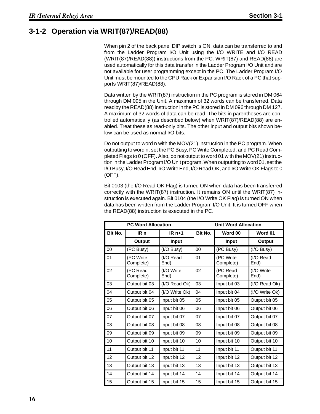#### **3-1-2 Operation via WRIT(87)/READ(88)**

When pin 2 of the back panel DIP switch is ON, data can be transferred to and from the Ladder Program I/O Unit using the I/O WRITE and I/O READ (WRIT(87)/READ(88)) instructions from the PC. WRIT(87) and READ(88) are used automatically for this data transfer in the Ladder Program I/O Unit and are not available for user programming except in the PC. The Ladder Program I/O Unit must be mounted to the CPU Rack or Expansion I/O Rack of a PC that supports WRIT(87)/READ(88).

Data written by the WRIT(87) instruction in the PC program is stored in DM 064 through DM 095 in the Unit. A maximum of 32 words can be transferred. Data read by the READ(88) instruction in the PC is stored in DM 096 through DM 127. A maximum of 32 words of data can be read. The bits in parentheses are controlled automatically (as described below) when WRIT(87)/READ(88) are enabled. Treat these as read-only bits. The other input and output bits shown below can be used as normal I/O bits.

Do not output to word n with the MOV(21) instruction in the PC program. When outputting to word n, set the PC Busy, PC Write Completed, and PC Read Completed Flags to 0 (OFF). Also, do not output to word 01 with the MOV(21) instruction in the Ladder Program I/O Unit program. When outputting to word 01, set the I/O Busy, I/O Read End, I/O Write End, I/O Read OK, and I/O Write OK Flags to 0 (OFF).

Bit 0103 (the I/O Read OK Flag) is turned ON when data has been transferred correctly with the WRIT(87) instruction. It remains ON until the WRIT(87) instruction is executed again. Bit 0104 (the I/O Write OK Flag) is turned ON when data has been written from the Ladder Program I/O Unit. It is turned OFF when the READ(88) instruction is executed in the PC.

|         | <b>PC Word Allocation</b> |                    | <b>Unit Word Allocation</b> |                        |                    |  |
|---------|---------------------------|--------------------|-----------------------------|------------------------|--------------------|--|
| Bit No. | IR n                      | $IRn+1$            | Bit No.                     | Word 00                | Word 01            |  |
|         | Output                    | <b>Input</b>       |                             | Input                  | Output             |  |
| 00      | (PC Busy)                 | $(1/O$ Busy $)$    | 00                          | (PC Busy)              | (I/O Busy)         |  |
| 01      | (PC Write<br>Complete)    | (I/O Read<br>End)  | 01                          | (PC Write<br>Complete) | (I/O Read<br>End)  |  |
| 02      | (PC Read<br>Complete)     | (I/O Write<br>End) | 02                          | (PC Read<br>Complete)  | (I/O Write<br>End) |  |
| 03      | Output bit 03             | (I/O Read Ok)      | 03                          | Input bit 03           | (I/O Read Ok)      |  |
| 04      | Output bit 04             | (I/O Write Ok)     | 04                          | Input bit 04           | (I/O Write Ok)     |  |
| 05      | Output bit 05             | Input bit 05       | 05                          | Input bit 05           | Output bit 05      |  |
| 06      | Output bit 06             | Input bit 06       | 06                          | Input bit 06           | Output bit 06      |  |
| 07      | Output bit 07             | Input bit 07       | 07                          | Input bit 07           | Output bit 07      |  |
| 08      | Output bit 08             | Input bit 08       | 08                          | Input bit 08           | Output bit 08      |  |
| 09      | Output bit 09             | Input bit 09       | 09                          | Input bit 09           | Output bit 09      |  |
| 10      | Output bit 10             | Input bit 10       | 10                          | Input bit 10           | Output bit 10      |  |
| 11      | Output bit 11             | Input bit 11       | 11                          | Input bit 11           | Output bit 11      |  |
| 12      | Output bit 12             | Input bit 12       | 12                          | Input bit 12           | Output bit 12      |  |
| 13      | Output bit 13             | Input bit 13       | 13                          | Input bit 13           | Output bit 13      |  |
| 14      | Output bit 14             | Input bit 14       | 14                          | Input bit 14           | Output bit 14      |  |
| 15      | Output bit 15             | Input bit 15       | 15                          | Input bit 15           | Output bit 15      |  |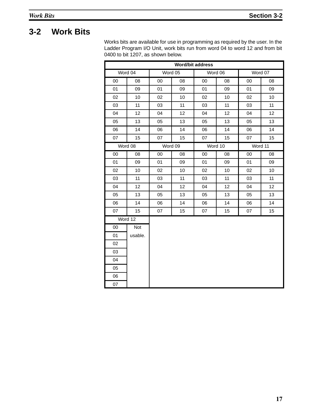### **3-2 Work Bits**

Works bits are available for use in programming as required by the user. In the Ladder Program I/O Unit, work bits run from word 04 to word 12 and from bit 0400 to bit 1207, as shown below.

| <b>Word/bit address</b> |         |    |         |    |         |         |         |  |
|-------------------------|---------|----|---------|----|---------|---------|---------|--|
|                         | Word 04 |    | Word 05 |    | Word 06 |         | Word 07 |  |
| 00                      | 08      | 00 | 08      | 00 | 08      | 00      | 08      |  |
| 01                      | 09      | 01 | 09      | 01 | 09      | 01      | 09      |  |
| 02                      | 10      | 02 | 10      | 02 | 10      | 02      | 10      |  |
| 03                      | 11      | 03 | 11      | 03 | 11      | 03      | 11      |  |
| 04                      | 12      | 04 | 12      | 04 | 12      | 04      | 12      |  |
| 05                      | 13      | 05 | 13      | 05 | 13      | 05      | 13      |  |
| 06                      | 14      | 06 | 14      | 06 | 14      | 06      | 14      |  |
| 07                      | 15      | 07 | 15      | 07 | 15      | 07      | 15      |  |
|                         | Word 08 |    | Word 09 |    | Word 10 | Word 11 |         |  |
| 00                      | 08      | 00 | 08      | 00 | 08      | 00      | 08      |  |
| 01                      | 09      | 01 | 09      | 01 | 09      | 01      | 09      |  |
| 02                      | 10      | 02 | 10      | 02 | 10      | 02      | 10      |  |
| 03                      | 11      | 03 | 11      | 03 | 11      | 03      | 11      |  |
| 04                      | 12      | 04 | 12      | 04 | 12      | 04      | 12      |  |
| 05                      | 13      | 05 | 13      | 05 | 13      | 05      | 13      |  |
| 06                      | 14      | 06 | 14      | 06 | 14      | 06      | 14      |  |
| 07                      | 15      | 07 | 15      | 07 | 15      | 07      | 15      |  |
|                         | Word 12 |    |         |    |         |         |         |  |
| $00\,$                  | Not     |    |         |    |         |         |         |  |
| 01                      | usable. |    |         |    |         |         |         |  |
| 02                      |         |    |         |    |         |         |         |  |
| 03                      |         |    |         |    |         |         |         |  |
| 04                      |         |    |         |    |         |         |         |  |
| 05                      |         |    |         |    |         |         |         |  |
| 06                      |         |    |         |    |         |         |         |  |
| 07                      |         |    |         |    |         |         |         |  |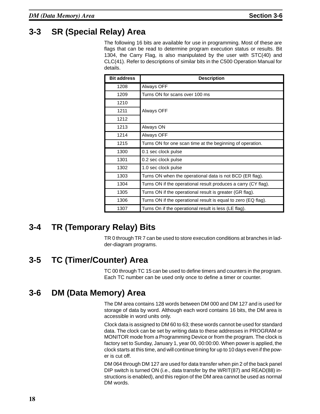## **3-3 SR (Special Relay) Area**

The following 16 bits are available for use in programming. Most of these are flags that can be read to determine program execution status or results. Bit 1304, the Carry Flag, is also manipulated by the user with STC(40) and CLC(41). Refer to descriptions of similar bits in the C500 Operation Manual for details.

| <b>Bit address</b> | <b>Description</b>                                             |
|--------------------|----------------------------------------------------------------|
| 1208               | Always OFF                                                     |
| 1209               | Turns ON for scans over 100 ms                                 |
| 1210               |                                                                |
| 1211               | Always OFF                                                     |
| 1212               |                                                                |
| 1213               | Always ON                                                      |
| 1214               | Always OFF                                                     |
| 1215               | Turns ON for one scan time at the beginning of operation.      |
| 1300               | 0.1 sec clock pulse                                            |
| 1301               | 0.2 sec clock pulse                                            |
| 1302               | 1.0 sec clock pulse                                            |
| 1303               | Turns ON when the operational data is not BCD (ER flag).       |
| 1304               | Turns ON if the operational result produces a carry (CY flag). |
| 1305               | Turns ON if the operational result is greater (GR flag).       |
| 1306               | Turns ON if the operational result is equal to zero (EQ flag). |
| 1307               | Turns On if the operational result is less (LE flag).          |

## **3-4 TR (Temporary Relay) Bits**

TR 0 through TR 7 can be used to store execution conditions at branches in ladder-diagram programs.

#### **3-5 TC (Timer/Counter) Area**

TC 00 through TC 15 can be used to define timers and counters in the program. Each TC number can be used only once to define a timer or counter.

## **3-6 DM (Data Memory) Area**

The DM area contains 128 words between DM 000 and DM 127 and is used for storage of data by word. Although each word contains 16 bits, the DM area is accessible in word units only.

Clock data is assigned to DM 60 to 63; these words cannot be used for standard data. The clock can be set by writing data to these addresses in PROGRAM or MONITOR mode from a Programming Device or from the program. The clock is factory set to Sunday, January 1, year 00, 00:00:00. When power is applied, the clock starts at this time, and will continue timing for up to 10 days even if the power is cut off.

DM 064 through DM 127 are used for data transfer when pin 2 of the back panel DIP switch is turned ON (i.e., data transfer by the WRIT(87) and READ(88) instructions is enabled), and this region of the DM area cannot be used as normal DM words.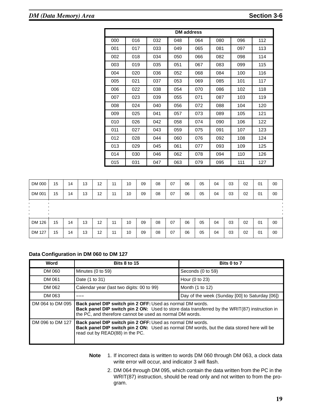| <b>DM</b> address |     |     |     |     |     |     |     |  |  |  |
|-------------------|-----|-----|-----|-----|-----|-----|-----|--|--|--|
| 000               | 016 | 032 | 048 | 064 | 080 | 096 | 112 |  |  |  |
| 001               | 017 | 033 | 049 | 065 | 081 | 097 | 113 |  |  |  |
| 002               | 018 | 034 | 050 | 066 | 082 | 098 | 114 |  |  |  |
| 003               | 019 | 035 | 051 | 067 | 083 | 099 | 115 |  |  |  |
| 004               | 020 | 036 | 052 | 068 | 084 | 100 | 116 |  |  |  |
| 005               | 021 | 037 | 053 | 069 | 085 | 101 | 117 |  |  |  |
| 006               | 022 | 038 | 054 | 070 | 086 | 102 | 118 |  |  |  |
| 007               | 023 | 039 | 055 | 071 | 087 | 103 | 119 |  |  |  |
| 008               | 024 | 040 | 056 | 072 | 088 | 104 | 120 |  |  |  |
| 009               | 025 | 041 | 057 | 073 | 089 | 105 | 121 |  |  |  |
| 010               | 026 | 042 | 058 | 074 | 090 | 106 | 122 |  |  |  |
| 011               | 027 | 043 | 059 | 075 | 091 | 107 | 123 |  |  |  |
| 012               | 028 | 044 | 060 | 076 | 092 | 108 | 124 |  |  |  |
| 013               | 029 | 045 | 061 | 077 | 093 | 109 | 125 |  |  |  |
| 014               | 030 | 046 | 062 | 078 | 094 | 110 | 126 |  |  |  |
| 015               | 031 | 047 | 063 | 079 | 095 | 111 | 127 |  |  |  |

| DM 000 | 15 | 14 | 13 | 12 | 11 | 10 | 09 | 08 | 07 | 06 | 05 | 04 | 03 | 02 | 01 | 00 |
|--------|----|----|----|----|----|----|----|----|----|----|----|----|----|----|----|----|
| DM 001 | 15 | 14 | 13 | 12 | 11 | 10 | 09 | 08 | 07 | 06 | 05 | 04 | 03 | 02 | 01 | 00 |
|        |    |    |    |    |    |    |    |    |    |    |    |    |    |    |    |    |
|        |    |    |    |    |    |    |    |    |    |    |    |    |    |    |    |    |
|        |    |    |    |    |    |    |    |    |    |    |    |    |    |    |    |    |
| DM 126 | 15 | 14 | 13 | 12 | 11 | 10 | 09 | 08 | 07 | 06 | 05 | 04 | 03 | 02 | 01 | 00 |

#### **Data Configuration in DM 060 to DM 127**

| Word             | <b>Bits 8 to 15</b>                                                                                                                                                                                                           | Bits 0 to 7                                    |
|------------------|-------------------------------------------------------------------------------------------------------------------------------------------------------------------------------------------------------------------------------|------------------------------------------------|
| DM 060           | Minutes (0 to 59)                                                                                                                                                                                                             | Seconds (0 to 59)                              |
| DM 061           | Date (1 to 31)                                                                                                                                                                                                                | Hour (0 to 23)                                 |
| DM 062           | Calendar year (last two digits: 00 to 99)                                                                                                                                                                                     | Month (1 to 12)                                |
| DM 063           |                                                                                                                                                                                                                               | Day of the week (Sunday [00] to Saturday [06]) |
| DM 064 to DM 095 | <b>Back panel DIP switch pin 2 OFF: Used as normal DM words.</b><br>Back panel DIP switch pin 2 ON: Used to store data transferred by the WRIT(87) instruction in<br>the PC, and therefore cannot be used as normal DM words. |                                                |
| DM 096 to DM 127 | <b>Back panel DIP switch pin 2 OFF: Used as normal DM words.</b><br><b>Back panel DIP switch pin 2 ON:</b> Used as normal DM words, but the data stored here will be<br>read out by READ(88) in the PC.                       |                                                |

- **Note** 1. If incorrect data is written to words DM 060 through DM 063, a clock data write error will occur, and indicator 3 will flash.
	- 2. DM 064 through DM 095, which contain the data written from the PC in the WRIT(87) instruction, should be read only and not written to from the program.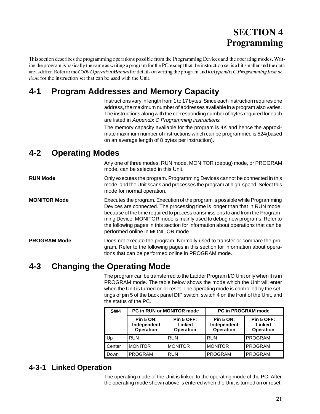# **SECTION Programming**

This section describes the programming operations possible from the Programming Devices and the operating modes. Writing the program is basically the same as writing a program for the PC, except that the instruction set is a bit smaller and the data areas differ. Refer to the C500 Operation Manual for details on writing the program and to Appendix C Programming Instructions for the instruction set that can be used with the Unit.

## **4-1 Program Addresses and Memory Capacity**

Instructions vary in length from 1 to 17 bytes. Since each instruction requires one address, the maximum number of addresses available in a program also varies. The instructions along with the corresponding number of bytes required for each are listed in Appendix C Programming instructions.

The memory capacity available for the program is 4K and hence the approximate maximum number of instructions which can be programmed is 524(based on an average length of 8 bytes per instruction).

#### **4-2 Operating Modes**

Any one of three modes, RUN mode, MONITOR (debug) mode, or PROGRAM mode, can be selected in this Unit.

**RUN Mode** Only executes the program. Programming Devices cannot be connected in this mode, and the Unit scans and processes the program at high-speed. Select this mode for normal operation.

**MONITOR Mode** Executes the program. Execution of the program is possible while Programming Devices are connected. The processing time is longer than that in RUN mode, because of the time required to process transmissions to and from the Programming Device. MONITOR mode is mainly used to debug new programs. Refer to the following pages in this section for information about operations that can be performed online in MONITOR mode.

**PROGRAM Mode** Does not execute the program. Normally used to transfer or compare the program. Refer to the following pages in this section for information about operations that can be performed online in PROGRAM mode.

## **4-3 Changing the Operating Mode**

The program can be transferred to the Ladder Program I/O Unit only when it is in PROGRAM mode. The table below shows the mode which the Unit will enter when the Unit is turned on or reset. The operating mode is controlled by the settings of pin 5 of the back panel DIP switch, switch 4 on the front of the Unit, and the status of the PC.

| SW <sub>4</sub> | <b>PC in RUN or MONITOR mode</b>                                                                |                | <b>PC in PROGRAM mode</b>                           |                                                 |  |  |
|-----------------|-------------------------------------------------------------------------------------------------|----------------|-----------------------------------------------------|-------------------------------------------------|--|--|
|                 | Pin 5 OFF:<br><b>Pin 5 ON:</b><br>Independent<br>Linked<br><b>Operation</b><br><b>Operation</b> |                | <b>Pin 5 ON:</b><br>Independent<br><b>Operation</b> | <b>Pin 5 OFF:</b><br>Linked<br><b>Operation</b> |  |  |
| Up              | <b>RUN</b>                                                                                      | <b>RUN</b>     | <b>RUN</b>                                          | <b>PROGRAM</b>                                  |  |  |
| Center          | <b>MONITOR</b>                                                                                  | <b>MONITOR</b> | <b>MONITOR</b>                                      | <b>PROGRAM</b>                                  |  |  |
| Down            | <b>PROGRAM</b>                                                                                  | <b>RUN</b>     | <b>PROGRAM</b>                                      | <b>PROGRAM</b>                                  |  |  |

#### **4-3-1 Linked Operation**

The operating mode of the Unit is linked to the operating mode of the PC. After the operating mode shown above is entered when the Unit is turned on or reset,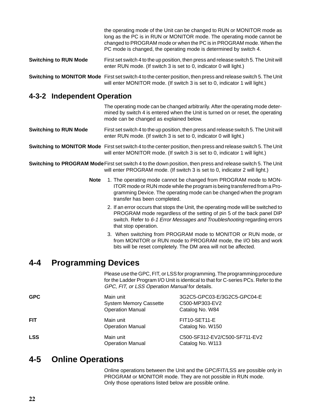|                              | the operating mode of the Unit can be changed to RUN or MONITOR mode as<br>long as the PC is in RUN or MONITOR mode. The operating mode cannot be<br>changed to PROGRAM mode or when the PC is in PROGRAM mode. When the<br>PC mode is changed, the operating mode is determined by switch 4. |
|------------------------------|-----------------------------------------------------------------------------------------------------------------------------------------------------------------------------------------------------------------------------------------------------------------------------------------------|
| <b>Switching to RUN Mode</b> | First set switch 4 to the up position, then press and release switch 5. The Unit will<br>enter RUN mode. (If switch 3 is set to 0, indicator 0 will light.)                                                                                                                                   |
|                              | Switching to MONITOR Mode First set switch 4 to the center position, then press and release switch 5. The Unit<br>will enter MONITOR mode. (If switch 3 is set to 0, indicator 1 will light.)                                                                                                 |

#### **4-3-2 Independent Operation**

The operating mode can be changed arbitrarily. After the operating mode determined by switch 4 is entered when the Unit is turned on or reset, the operating mode can be changed as explained below. **Switching to RUN Mode** First set switch 4 to the up position, then press and release switch 5. The Unit will enter RUN mode. (If switch 3 is set to 0, indicator 0 will light.) **Switching to MONITOR Mode** First set switch 4 to the center position, then press and release switch 5. The Unit will enter MONITOR mode. (If switch 3 is set to 0, indicator 1 will light.)

**Switching to PROGRAM Mode**First set switch 4 to the down position, then press and release switch 5. The Unit will enter PROGRAM mode. (If switch 3 is set to 0, indicator 2 will light.)

- **Note** 1. The operating mode cannot be changed from PROGRAM mode to MON-ITOR mode or RUN mode while the program is being transferred from a Programming Device. The operating mode can be changed when the program transfer has been completed.
	- 2. If an error occurs that stops the Unit, the operating mode will be switched to PROGRAM mode regardless of the setting of pin 5 of the back panel DIP switch. Refer to 6-1 Error Messages and Troubleshooting regarding errors that stop operation.
	- 3. When switching from PROGRAM mode to MONITOR or RUN mode, or from MONITOR or RUN mode to PROGRAM mode, the I/O bits and work bits will be reset completely. The DM area will not be affected.

#### **4-4 Programming Devices**

Please use the GPC, FIT, or LSS for programming. The programming procedure for the Ladder Program I/O Unit is identical to that for C-series PCs. Refer to the GPC, FIT, or LSS Operation Manual for details.

| <b>GPC</b> | Main unit<br><b>System Memory Cassette</b><br><b>Operation Manual</b> | 3G2C5-GPC03-E/3G2C5-GPC04-E<br>C500-MP303-EV2<br>Catalog No. W84 |
|------------|-----------------------------------------------------------------------|------------------------------------------------------------------|
| <b>FIT</b> | Main unit<br><b>Operation Manual</b>                                  | FIT10-SET11-E<br>Catalog No. W150                                |
| <b>LSS</b> | Main unit<br><b>Operation Manual</b>                                  | C500-SF312-EV2/C500-SF711-EV2<br>Catalog No. W113                |

#### **4-5 Online Operations**

Online operations between the Unit and the GPC/FIT/LSS are possible only in PROGRAM or MONITOR mode. They are not possible in RUN mode. Only those operations listed below are possible online.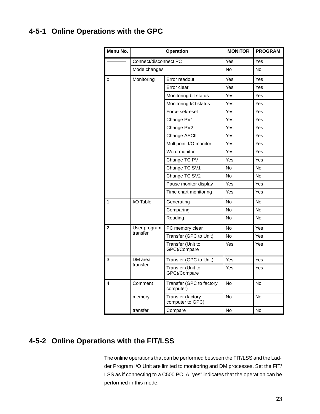#### **4-5-1 Online Operations with the GPC**

| Menu No.       | Operation             |                                       | <b>MONITOR</b> | <b>PROGRAM</b> |
|----------------|-----------------------|---------------------------------------|----------------|----------------|
|                | Connect/disconnect PC |                                       | Yes            | Yes            |
|                | Mode changes          |                                       | <b>No</b>      | <b>No</b>      |
| $\circ$        | Monitoring            | Error readout                         | Yes            | Yes            |
|                |                       | Error clear                           | Yes            | Yes            |
|                |                       | Monitoring bit status                 | Yes            | Yes            |
|                |                       | Monitoring I/O status                 | Yes            | Yes            |
|                |                       | Force set/reset                       | Yes            | Yes            |
|                |                       | Change PV1                            | Yes            | Yes            |
|                |                       | Change PV2                            | Yes            | Yes            |
|                |                       | Change ASCII                          | Yes            | Yes            |
|                |                       | Multipoint I/O monitor                | Yes            | Yes            |
|                |                       | Word monitor                          | Yes            | Yes            |
|                |                       | Change TC PV                          | Yes            | Yes            |
|                |                       | Change TC SV1                         | No.            | No             |
|                |                       | Change TC SV2                         | <b>No</b>      | <b>No</b>      |
|                |                       | Pause monitor display                 | Yes            | Yes            |
|                |                       | Time chart monitoring                 | Yes            | Yes            |
| $\overline{1}$ | I/O Table             | Generating                            | N <sub>o</sub> | <b>No</b>      |
|                |                       | Comparing                             | <b>No</b>      | <b>No</b>      |
|                |                       | Reading                               | <b>No</b>      | No.            |
| $\overline{2}$ | User program          | PC memory clear                       | No             | Yes            |
|                | transfer              | Transfer (GPC to Unit)                | No.            | Yes            |
|                |                       | Transfer (Unit to<br>GPC)/Compare     | Yes            | Yes            |
| 3              | DM area               | Transfer (GPC to Unit)                | Yes            | Yes            |
|                | transfer              | Transfer (Unit to<br>GPC)/Compare     | Yes            | Yes            |
| 4              | Comment               | Transfer (GPC to factory<br>computer) | <b>No</b>      | No             |
|                | memory                | Transfer (factory<br>computer to GPC) | No             | No             |
|                | transfer              | Compare                               | <b>No</b>      | <b>No</b>      |

### **4-5-2 Online Operations with the FIT/LSS**

The online operations that can be performed between the FIT/LSS and the Ladder Program I/O Unit are limited to monitoring and DM processes. Set the FIT/ LSS as if connecting to a C500 PC. A "yes" indicates that the operation can be performed in this mode.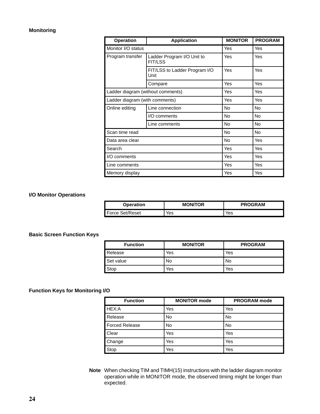#### **Monitoring**

| <b>Operation</b>                  | <b>Application</b>                           | <b>MONITOR</b> | <b>PROGRAM</b> |
|-----------------------------------|----------------------------------------------|----------------|----------------|
| Monitor I/O status                |                                              | Yes            | Yes            |
| Program transfer                  | Ladder Program I/O Unit to<br><b>FIT/LSS</b> | Yes            | Yes            |
|                                   | FIT/LSS to Ladder Program I/O<br>Unit        | Yes            | Yes            |
|                                   | Compare                                      | Yes            | Yes            |
| Ladder diagram (without comments) |                                              | Yes            | Yes            |
| Ladder diagram (with comments)    |                                              | Yes            | Yes            |
| Online editing                    | Line connection                              | No.            | <b>No</b>      |
|                                   | I/O comments                                 | No             | No             |
|                                   | Line comments                                | No.            | No             |
| Scan time read                    |                                              | No.            | No             |
| Data area clear                   |                                              | No.            | Yes            |
| Search                            |                                              | Yes            | Yes            |
| I/O comments                      |                                              | Yes            | Yes            |
| Line comments                     |                                              | Yes            | Yes            |
| Memory display                    |                                              | Yes            | Yes            |

#### **I/O Monitor Operations**

| Operation       | <b>MONITOR</b> | <b>PROGRAM</b> |
|-----------------|----------------|----------------|
| Force Set/Reset | Yes            | Yes            |

#### **Basic Screen Function Keys**

| <b>Function</b> | <b>MONITOR</b> | <b>PROGRAM</b> |
|-----------------|----------------|----------------|
| Release         | Yes            | Yes            |
| Set value       | No             | No             |
| Stop            | Yes            | Yes            |

#### **Function Keys for Monitoring I/O**

| <b>Function</b>       | <b>MONITOR mode</b> | <b>PROGRAM</b> mode |
|-----------------------|---------------------|---------------------|
| HEX:A                 | Yes                 | Yes                 |
| Release               | No                  | No                  |
| <b>Forced Release</b> | No                  | No                  |
| Clear                 | Yes                 | Yes                 |
| Change                | Yes                 | Yes                 |
| Stop                  | Yes                 | Yes                 |

**Note** When checking TIM and TIMH(15) instructions with the ladder diagram monitor operation while in MONITOR mode, the observed timing might be longer than expected.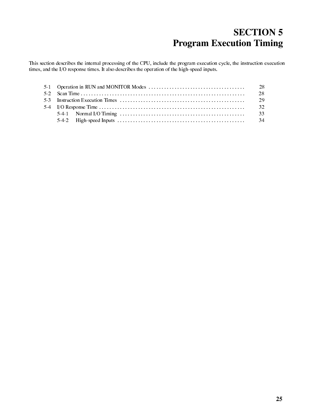# **SECTION 5 Program Execution Timing**

This section describes the internal processing of the CPU, include the program execution cycle, the instruction execution times, and the I/O response times. It also describes the operation of the high-speed inputs.

|                                                                                                                           | -28  |
|---------------------------------------------------------------------------------------------------------------------------|------|
|                                                                                                                           | - 29 |
|                                                                                                                           | - 32 |
| 5-4-1 Normal I/O Timing $\dots \dots \dots \dots \dots \dots \dots \dots \dots \dots \dots \dots \dots \dots \dots \dots$ | -33  |
|                                                                                                                           |      |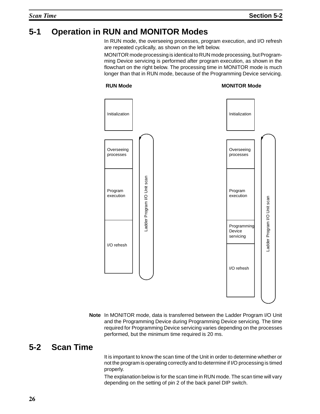# **5-1 Operation in RUN and MONITOR Modes**

In RUN mode, the overseeing processes, program execution, and I/O refresh are repeated cyclically, as shown on the left below.

MONITOR mode processing is identical to RUN mode processing, but Programming Device servicing is performed after program execution, as shown in the flowchart on the right below. The processing time in MONITOR mode is much longer than that in RUN mode, because of the Programming Device servicing.

#### **RUN Mode**

#### **MONITOR Mode**



**Note** In MONITOR mode, data is transferred between the Ladder Program I/O Unit and the Programming Device during Programming Device servicing. The time required for Programming Device servicing varies depending on the processes performed, but the minimum time required is 20 ms.

### **5-2 Scan Time**

It is important to know the scan time of the Unit in order to determine whether or not the program is operating correctly and to determine if I/O processing is timed properly.

The explanation below is for the scan time in RUN mode. The scan time will vary depending on the setting of pin 2 of the back panel DIP switch.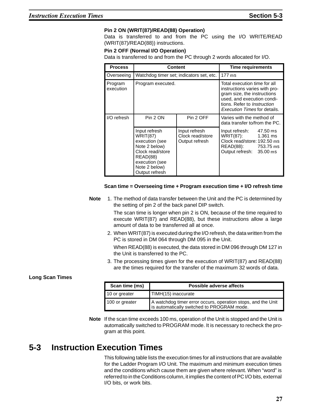#### **Pin 2 ON (WRIT(87)/READ(88) Operation)**

Data is transferred to and from the PC using the I/O WRITE/READ (WRIT(87)/READ(88)) instructions.

#### **Pin 2 OFF (Normal I/O Operation)**

Data is transferred to and from the PC through 2 words allocated for I/O.

| <b>Process</b>       | Content                                                                                                                                                  |                                                     | <b>Time requirements</b>                                                                                                                                                                                |          |
|----------------------|----------------------------------------------------------------------------------------------------------------------------------------------------------|-----------------------------------------------------|---------------------------------------------------------------------------------------------------------------------------------------------------------------------------------------------------------|----------|
| Overseeing           | Watchdog timer set; indicators set, etc.                                                                                                                 |                                                     | $177$ ms                                                                                                                                                                                                |          |
| Program<br>execution | Program executed.                                                                                                                                        |                                                     | Total execution time for all<br>instructions varies with pro-<br>gram size, the instructions<br>used, and execution condi-<br>tions. Refer to <i>Instruction</i><br><i>Execution Times</i> for details. |          |
| I/O refresh          | Pin 2 ON                                                                                                                                                 | Pin 2 OFF                                           | Varies with the method of<br>data transfer to/from the PC.                                                                                                                                              |          |
|                      | Input refresh<br><b>WRIT(87)</b><br>execution (see<br>Note 2 below)<br>Clock read/store<br>READ(88)<br>execution (see<br>Note 2 below)<br>Output refresh | Input refresh<br>Clock read/store<br>Output refresh | Input refresh:<br>WRIT(87): 1.361 ms<br>Clock read/store: 192.50 ms<br>READ(88): 753.75 ms<br>Output refresh: 35.00 ms                                                                                  | 47.50 ms |

#### **Scan time = Overseeing time + Program execution time + I/O refresh time**

**Note** 1. The method of data transfer between the Unit and the PC is determined by the setting of pin 2 of the back panel DIP switch.

> The scan time is longer when pin 2 is ON, because of the time required to execute WRIT(87) and READ(88), but these instructions allow a large amount of data to be transferred all at once.

2. When WRIT(87) is executed during the I/O refresh, the data written from the PC is stored in DM 064 through DM 095 in the Unit.

When READ(88) is executed, the data stored in DM 096 through DM 127 in the Unit is transferred to the PC.

3. The processing times given for the execution of WRIT(87) and READ(88) are the times required for the transfer of the maximum 32 words of data.

#### **Long Scan Times**

| Scan time (ms) | Possible adverse affects                                                                                |  |
|----------------|---------------------------------------------------------------------------------------------------------|--|
| 10 or greater  | TIMH(15) inaccurate                                                                                     |  |
| 100 or greater | A watchdog timer error occurs, operation stops, and the Unit is automatically switched to PROGRAM mode. |  |

**Note** If the scan time exceeds 100 ms, operation of the Unit is stopped and the Unit is automatically switched to PROGRAM mode. It is necessary to recheck the program at this point.

#### **5-3 Instruction Execution Times**

This following table lists the execution times for all instructions that are available for the Ladder Program I/O Unit. The maximum and minimum execution times and the conditions which cause them are given where relevant. When "word" is referred to in the Conditions column, it implies the content of PC I/O bits, external I/O bits, or work bits.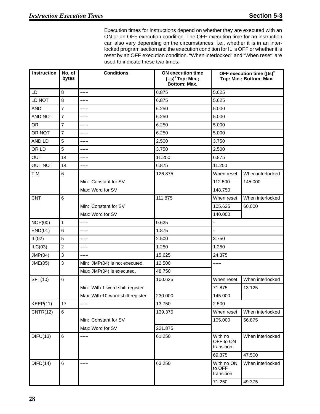Execution times for instructions depend on whether they are executed with an ON or an OFF execution condition. The OFF execution time for an instruction can also vary depending on the circumstances, i.e., whether it is in an interlocked program section and the execution condition for IL is OFF or whether it is reset by an OFF execution condition. "When interlocked" and "When reset" are used to indicate these two times.

| Instruction    | No. of<br>bytes           | <b>Conditions</b>                | <b>ON execution time</b><br>$(\mu s)^*$ Top: Min.;<br><b>Bottom: Max.</b> |                                    | OFF execution time $(\mu s)^*$<br>Top: Min.; Bottom: Max. |
|----------------|---------------------------|----------------------------------|---------------------------------------------------------------------------|------------------------------------|-----------------------------------------------------------|
| <b>LD</b>      | 8                         |                                  | 6.875                                                                     | 5.625                              |                                                           |
| LD NOT         | 8                         | ---                              | 6.875                                                                     | 5.625                              |                                                           |
| <b>AND</b>     | $\overline{7}$            | ---                              | 6.250                                                                     | 5.000                              |                                                           |
| AND NOT        | $\overline{7}$            | ---                              | 6.250                                                                     | 5.000                              |                                                           |
| <b>OR</b>      | $\overline{7}$            | ---                              | 6.250                                                                     | 5.000                              |                                                           |
| OR NOT         | $\overline{7}$            | ---                              | 6.250                                                                     | 5.000                              |                                                           |
| AND LD         | 5                         | ---                              | 2.500                                                                     | 3.750                              |                                                           |
| OR LD          | 5                         | ---                              | 3.750                                                                     | 2.500                              |                                                           |
| <b>OUT</b>     | 14                        | ---                              | 11.250                                                                    | 6.875                              |                                                           |
| <b>OUT NOT</b> | 14                        | ---                              | 6.875                                                                     | 11.250                             |                                                           |
| <b>TIM</b>     | $6\phantom{a}$            |                                  | 126.875                                                                   | When reset                         | When interlocked                                          |
|                |                           | Min: Constant for SV             |                                                                           | 112.500                            | 145.000                                                   |
|                |                           | Max: Word for SV                 |                                                                           | 148.750                            |                                                           |
| <b>CNT</b>     | $\,6$                     |                                  | 111.875                                                                   | When reset                         | When interlocked                                          |
|                |                           | Min: Constant for SV             |                                                                           | 105.625                            | 60.000                                                    |
|                |                           | Max: Word for SV                 |                                                                           | 140.000                            |                                                           |
| NOP(00)        | $\mathbf{1}$              | ---                              | 0.625                                                                     | -                                  |                                                           |
| END(01)        | $6\phantom{1}$            | ---                              | 1.875                                                                     |                                    |                                                           |
| IL(02)         | $\overline{5}$            | ---                              | 2.500                                                                     | 3.750                              |                                                           |
| ILC(03)        | $\boldsymbol{2}$          | ---                              | 1.250                                                                     | 1.250                              |                                                           |
| JMP(04)        | $\ensuremath{\mathsf{3}}$ | ---                              | 15.625                                                                    | 24.375                             |                                                           |
| JME(05)        | $\mathfrak{S}$            | Min: JMP(04) is not executed.    | 12.500                                                                    | ---                                |                                                           |
|                |                           | Max: JMP(04) is executed.        | 48.750                                                                    |                                    |                                                           |
| SFT(10)        | $\,6$                     |                                  | 100.625                                                                   | When reset                         | When interlocked                                          |
|                |                           | Min: With 1-word shift register  |                                                                           | 71.875                             | 13.125                                                    |
|                |                           | Max: With 10-word shift register | 230.000                                                                   | 145.000                            |                                                           |
| KEEP(11)       | 17                        | ---                              | 13.750                                                                    | 2.500                              |                                                           |
| CNTR(12)       | 6                         |                                  | 139.375                                                                   | When reset                         | When interlocked                                          |
|                |                           | Min: Constant for SV             |                                                                           | 105.000                            | 56.875                                                    |
|                |                           | Max: Word for SV                 | 221.875                                                                   |                                    |                                                           |
| DIFU(13)       | 6                         | ---                              | 61.250                                                                    | With no<br>OFF to ON<br>transition | When interlocked                                          |
|                |                           |                                  |                                                                           | 69.375                             | 47.500                                                    |
| DIFD(14)       | 6                         | ---                              | 63.250                                                                    | With no ON<br>to OFF<br>transition | When interlocked                                          |
|                |                           |                                  |                                                                           | 71.250                             | 49.375                                                    |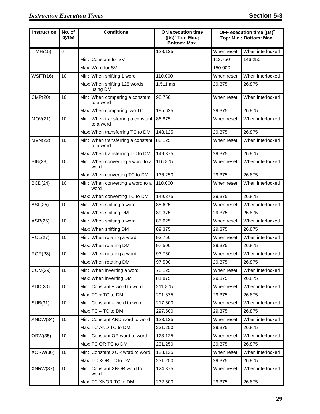#### **Instruction Execution Times** Section 5-3

| <b>Instruction</b> | No. of<br>bytes | <b>Conditions</b>                              | <b>ON execution time</b><br>$(\mu s)^*$ Top: Min.;<br><b>Bottom: Max.</b> |            | OFF execution time $(\mu s)^*$<br>Top: Min.; Bottom: Max. |
|--------------------|-----------------|------------------------------------------------|---------------------------------------------------------------------------|------------|-----------------------------------------------------------|
| TIMH(15)           | 6               |                                                | 128.125                                                                   | When reset | When interlocked                                          |
|                    |                 | Min: Constant for SV                           |                                                                           | 113.750    | 146.250                                                   |
|                    |                 | Max: Word for SV                               |                                                                           | 150.000    |                                                           |
| WSFT(16)           | 10              | Min: When shifting 1 word                      | 110.000                                                                   | When reset | When interlocked                                          |
|                    |                 | Max: When shifting 128 words<br>using DM       | 1.511 ms                                                                  | 29.375     | 26.875                                                    |
| CMP(20)            | 10              | Min: When comparing a constant<br>to a word    | 98.750                                                                    | When reset | When interlocked                                          |
|                    |                 | Max: When comparing two TC                     | 195.625                                                                   | 29.375     | 26.875                                                    |
| MOV(21)            | 10              | Min: When transferring a constant<br>to a word | 86.875                                                                    | When reset | When interlocked                                          |
|                    |                 | Max: When transferring TC to DM                | 148.125                                                                   | 29.375     | 26.875                                                    |
| MVN(22)            | 10              | Min: When transferring a constant<br>to a word | 88.125                                                                    | When reset | When interlocked                                          |
|                    |                 | Max: When transferring TC to DM                | 149.375                                                                   | 29.375     | 26.875                                                    |
| BIN(23)            | 10              | Min: When converting a word to a<br>word       | 116.875                                                                   | When reset | When interlocked                                          |
|                    |                 | Max: When converting TC to DM                  | 136.250                                                                   | 29.375     | 26.875                                                    |
| BCD(24)            | 10              | Min: When converting a word to a<br>word       | 110.000                                                                   | When reset | When interlocked                                          |
|                    |                 | Max: When converting TC to DM                  | 149.375                                                                   | 29.375     | 26.875                                                    |
| ASL(25)            | 10              | Min: When shifting a word                      | 85.625                                                                    | When reset | When interlocked                                          |
|                    |                 | Max: When shifting DM                          | 89.375                                                                    | 29.375     | 26.875                                                    |
| ASR(26)            | 10              | Min: When shifting a word                      | 85.625                                                                    | When reset | When interlocked                                          |
|                    |                 | Max: When shifting DM                          | 89.375                                                                    | 29.375     | 26.875                                                    |
| ROL(27)            | 10              | Min: When rotating a word                      | 93.750                                                                    | When reset | When interlocked                                          |
|                    |                 | Max: When rotating DM                          | 97.500                                                                    | 29.375     | 26.875                                                    |
| ROR(28)            | 10              | Min: When rotating a word                      | 93.750                                                                    | When reset | When interlocked                                          |
|                    |                 | Max: When rotating DM                          | 97.500                                                                    | 29.375     | 26.875                                                    |
| COM(29)            | 10              | Min: When inverting a word                     | 78.125                                                                    | When reset | When interlocked                                          |
|                    |                 | Max: When inverting DM                         | 81.875                                                                    | 29.375     | 26.875                                                    |
| ADD(30)            | 10              | Min: Constant + word to word                   | 211.875                                                                   | When reset | When interlocked                                          |
|                    |                 | Max: TC + TC to DM                             | 291.875                                                                   | 29.375     | 26.875                                                    |
| SUB(31)            | 10              | Min: Constant - word to word                   | 217.500                                                                   | When reset | When interlocked                                          |
|                    |                 | Max: TC - TC to DM                             | 297.500                                                                   | 29.375     | 26.875                                                    |
| ANDW(34)           | 10              | Min: Constant AND word to word                 | 123.125                                                                   | When reset | When interlocked                                          |
|                    |                 | Max: TC AND TC to DM                           | 231.250                                                                   | 29.375     | 26.875                                                    |
| ORW(35)            | 10              | Min: Constant OR word to word                  | 123.125                                                                   | When reset | When interlocked                                          |
|                    |                 | Max: TC OR TC to DM                            | 231.250                                                                   | 29.375     | 26.875                                                    |
| XORW(36)           | 10              | Min: Constant XOR word to word                 | 123.125                                                                   | When reset | When interlocked                                          |
|                    |                 | Max: TC XOR TC to DM                           | 231.250                                                                   | 29.375     | 26.875                                                    |
| XNRW(37)           | 10              | Min: Constant XNOR word to<br>word             | 124.375                                                                   | When reset | When interlocked                                          |
|                    |                 | Max: TC XNOR TC to DM                          | 232.500                                                                   | 29.375     | 26.875                                                    |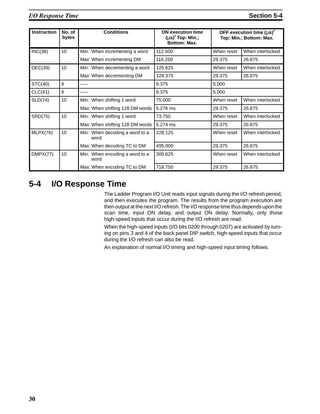| <b>Instruction</b> | No. of<br>bytes | <b>Conditions</b>                      | <b>ON execution time</b><br>$(\mu s)^*$ Top: Min.;<br>Bottom: Max. | OFF execution time $(\mu s)^*$<br>Top: Min.; Bottom: Max. |                  |
|--------------------|-----------------|----------------------------------------|--------------------------------------------------------------------|-----------------------------------------------------------|------------------|
| INC(38)            | 10              | Min: When incrementing a word          | 112.500                                                            | When reset                                                | When interlocked |
|                    |                 | Max: When incrementing DM              | 116.250                                                            | 29.375                                                    | 26.875           |
| DEC(39)            | 10              | Min: When decrementing a word          | 125.625                                                            | When reset                                                | When interlocked |
|                    |                 | Max: When decrementing DM              | 129.375                                                            | 29.375                                                    | 26.875           |
| STC(40)            | 9               |                                        | 9.375                                                              | 5.000                                                     |                  |
| CLC(41)            | 9               |                                        | 9.375                                                              | 5.000                                                     |                  |
| SLD(74)            | 10              | Min: When shifting 1 word              | 75.000                                                             | When reset                                                | When interlocked |
|                    |                 | Max: When shifting 128 DM words        | 5.276 ms                                                           | 29.375                                                    | 26.875           |
| <b>SRD(75)</b>     | 10              | Min: When shifting 1 word              | 73.750                                                             | When reset                                                | When interlocked |
|                    |                 | Max: When shifting 128 DM words        | 5.274 ms                                                           | 29.375                                                    | 26.875           |
| MLPX(76)           | 10              | Min: When decoding a word to a<br>word | 228.125                                                            | When reset                                                | When interlocked |
|                    |                 | Max: When decoding TC to DM            | 495.000                                                            | 29.375                                                    | 26.875           |
| DMPX(77)           | 10              | Min: When encoding a word to a<br>word | 300.625                                                            | When reset                                                | When interlocked |
|                    |                 | Max: When encoding TC to DM            | 718.750                                                            | 29.375                                                    | 26.875           |

## **5-4 I/O Response Time**

The Ladder Program I/O Unit reads input signals during the I/O refresh period, and then executes the program. The results from the program execution are then output at the next I/O refresh. The I/O response time thus depends upon the scan time, input ON delay, and output ON delay. Normally, only those high-speed inputs that occur during the I/O refresh are read.

When the high-speed inputs (I/O bits 0200 through 0207) are activated by turning on pins 3 and 4 of the back panel DIP switch, high-speed inputs that occur during the I/O refresh can also be read.

An explanation of normal I/O timing and high-speed input timing follows.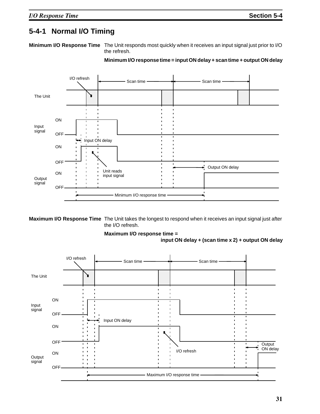#### **5-4-1 Normal I/O Timing**

**Minimum I/O Response Time** The Unit responds most quickly when it receives an input signal just prior to I/O the refresh.



**Minimum I/O response time = input ON delay + scan time + output ON delay**

**Maximum I/O Response Time** The Unit takes the longest to respond when it receives an input signal just after the I/O refresh.

# **Maximum I/O response time =**



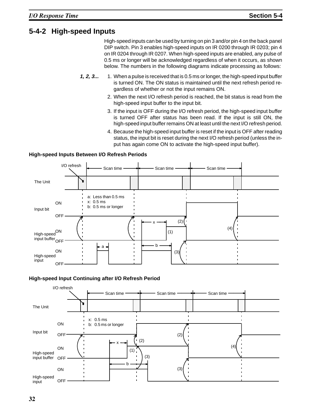#### **5-4-2 High-speed Inputs**

High-speed inputs can be used by turning on pin 3 and/or pin 4 on the back panel DIP switch. Pin 3 enables high-speed inputs on IR 0200 through IR 0203; pin 4 on IR 0204 through IR 0207. When high-speed inputs are enabled, any pulse of 0.5 ms or longer will be acknowledged regardless of when it occurs, as shown below. The numbers in the following diagrams indicate processing as follows:

- **1, 2, 3...** 1. When a pulse is received that is 0.5 ms or longer, the high-speed input buffer is turned ON. The ON status is maintained until the next refresh period regardless of whether or not the input remains ON.
	- 2. When the next I/O refresh period is reached, the bit status is read from the high-speed input buffer to the input bit.
	- 3. If the input is OFF during the I/O refresh period, the high-speed input buffer is turned OFF after status has been read. If the input is still ON, the high-speed input buffer remains ON at least until the next I/O refresh period.
	- 4. Because the high-speed input buffer is reset if the input is OFF after reading status, the input bit is reset during the next I/O refresh period (unless the input has again come ON to activate the high-speed input buffer).



#### **High-speed Inputs Between I/O Refresh Periods**

#### **High-speed Input Continuing after I/O Refresh Period**

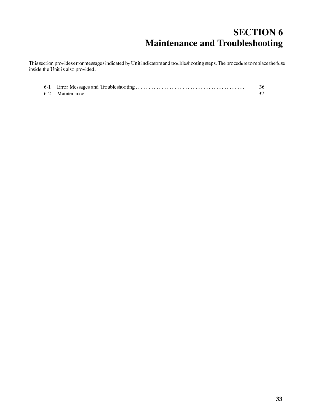# **SECTION 6 Maintenance and Troubleshooting**

This section provides error messages indicated by Unit indicators and troubleshooting steps. The procedure to replace the fuse inside the Unit is also provided.

|  | - 36 |
|--|------|
|  |      |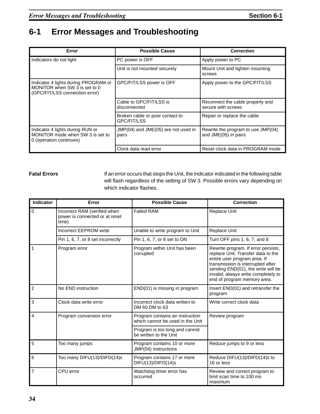## **6-1 Error Messages and Troubleshooting**

| Error                                                                                                   | <b>Possible Cause</b>                            | <b>Correction</b>                                          |
|---------------------------------------------------------------------------------------------------------|--------------------------------------------------|------------------------------------------------------------|
| Indicators do not light                                                                                 | PC power is OFF                                  | Apply power to PC                                          |
|                                                                                                         | Unit is not mounted securely                     | Mount Unit and tighten mounting<br>screws                  |
| Indicator 4 lights during PROGRAM or<br>MONITOR when SW 3 is set to 0<br>(GPC/FIT/LSS connection error) | GPC/FIT/LSS power is OFF                         | Apply power to the GPC/FIT/LSS                             |
|                                                                                                         | Cable to GPC/FIT/LSS is<br>disconnected          | Reconnect the cable properly and<br>secure with screws     |
|                                                                                                         | Broken cable or poor contact to<br>GPC/FIT/LSS   | Repair or replace the cable                                |
| Indicator 4 lights during RUN or<br>MONITOR mode when SW 3 is set to<br>0 (operation continues)         | $JMP(04)$ and $JME(05)$ are not used in<br>pairs | Rewrite the program to use JMP(04)<br>and JME(05) in pairs |
|                                                                                                         | Clock data read error                            | Reset clock data in PROGRAM mode                           |

**Fatal Errors** If an error occurs that stops the Unit, the indicator indicated in the following table will flash regardless of the setting of SW 3. Possible errors vary depending on which indicator flashes.

| Indicator       | Error                                                                   | <b>Possible Cause</b>                                               | <b>Correction</b>                                                                                                                                                                                                                                          |  |
|-----------------|-------------------------------------------------------------------------|---------------------------------------------------------------------|------------------------------------------------------------------------------------------------------------------------------------------------------------------------------------------------------------------------------------------------------------|--|
| $\Omega$        | Incorrect RAM (verified when<br>power is connected or at reset<br>time) | <b>Failed RAM</b>                                                   | Replace Unit                                                                                                                                                                                                                                               |  |
|                 | <b>Incorrect EEPROM write</b>                                           | Unable to write program to Unit                                     | Replace Unit                                                                                                                                                                                                                                               |  |
|                 | Pin 1, 6, 7, or 8 set incorrectly                                       | Pin 1, 6, 7, or 8 set to ON                                         | Turn OFF pins 1, 6, 7, and 8                                                                                                                                                                                                                               |  |
| $\overline{1}$  | Program error                                                           | Program within Unit has been<br>corrupted                           | Rewrite program. If error persists,<br>replace Unit. Transfer data to the<br>entire user program area. If<br>transmission is interrupted after<br>sending END(01), the write will be<br>invalid; always write completely to<br>end of program memory area. |  |
| $\overline{2}$  | No END instruction                                                      | END(01) is missing in program                                       | Insert END(01) and retransfer the<br>program                                                                                                                                                                                                               |  |
| $\mathbf{3}$    | Clock data write error                                                  | Incorrect clock data written to<br>DM 60 DM to 63                   | Write correct clock data                                                                                                                                                                                                                                   |  |
| $\overline{4}$  | Program conversion error                                                | Program contains an instruction<br>which cannot be used in the Unit | Review program                                                                                                                                                                                                                                             |  |
|                 |                                                                         | Program is too long and cannot<br>be written to the Unit            |                                                                                                                                                                                                                                                            |  |
| $5\overline{5}$ | Too many jumps                                                          | Program contains 10 or more<br>JMP(04) instructions                 | Reduce jumps to 9 or less                                                                                                                                                                                                                                  |  |
| 6               | Too many DIFU(13)/DIFD(14)s                                             | Program contains 17 or more<br>DIFU(13)/DIFD(14)s                   | Reduce DIFU(13)/DIFD(14)s to<br>16 or less                                                                                                                                                                                                                 |  |
| $\overline{7}$  | CPU error                                                               | Watchdog timer error has<br>occurred                                | Review and correct program to<br>limit scan time to 100 ms<br>maximum                                                                                                                                                                                      |  |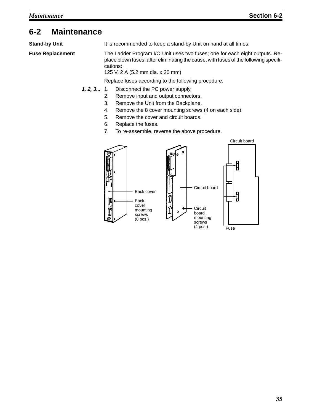#### **6-2 Maintenance**

**Stand-by Unit** It is recommended to keep a stand-by Unit on hand at all times.

**Fuse Replacement** The Ladder Program I/O Unit uses two fuses; one for each eight outputs. Replace blown fuses, after eliminating the cause, with fuses of the following specifications:

125 V, 2 A (5.2 mm dia. x 20 mm)

Replace fuses according to the following procedure.

- **1, 2, 3...** 1. Disconnect the PC power supply.
	- 2. Remove input and output connectors.
	- 3. Remove the Unit from the Backplane.
	- 4. Remove the 8 cover mounting screws (4 on each side).
	- 5. Remove the cover and circuit boards.
	- 6. Replace the fuses.
	- 7. To re-assemble, reverse the above procedure.

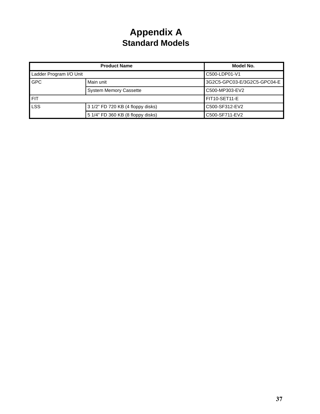# **Appendix A Standard Models**

| <b>Product Name</b>     |                                   | Model No.                   |
|-------------------------|-----------------------------------|-----------------------------|
| Ladder Program I/O Unit |                                   | C500-LDP01-V1               |
| <b>GPC</b>              | Main unit                         | 3G2C5-GPC03-E/3G2C5-GPC04-E |
|                         | <b>System Memory Cassette</b>     | C500-MP303-EV2              |
| <b>FIT</b>              |                                   | FIT10-SET11-E               |
| <b>LSS</b>              | 3 1/2" FD 720 KB (4 floppy disks) | C500-SF312-EV2              |
|                         | 5 1/4" FD 360 KB (8 floppy disks) | C500-SF711-EV2              |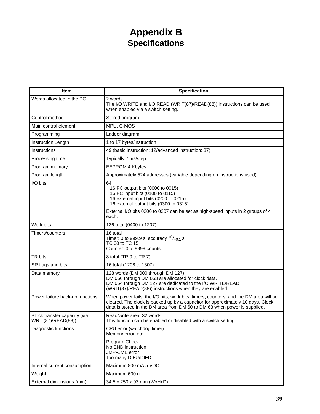# **Appendix B Specifications**

| Item                                               | <b>Specification</b>                                                                                                                                                                                                                                 |
|----------------------------------------------------|------------------------------------------------------------------------------------------------------------------------------------------------------------------------------------------------------------------------------------------------------|
| Words allocated in the PC                          | 2 words<br>The I/O WRITE and I/O READ (WRIT(87)/READ(88)) instructions can be used<br>when enabled via a switch setting.                                                                                                                             |
| Control method                                     | Stored program                                                                                                                                                                                                                                       |
| Main control element                               | MPU, C-MOS                                                                                                                                                                                                                                           |
| Programming                                        | Ladder diagram                                                                                                                                                                                                                                       |
| Instruction Length                                 | 1 to 17 bytes/instruction                                                                                                                                                                                                                            |
| Instructions                                       | 49 (basic instruction: 12/advanced instruction: 37)                                                                                                                                                                                                  |
| Processing time                                    | Typically 7 ms/step                                                                                                                                                                                                                                  |
| Program memory                                     | <b>EEPROM 4 Kbytes</b>                                                                                                                                                                                                                               |
| Program length                                     | Approximately 524 addresses (variable depending on instructions used)                                                                                                                                                                                |
| I/O bits                                           | 64<br>16 PC output bits (0000 to 0015)<br>16 PC input bits (0100 to 0115)<br>16 external input bits (0200 to 0215)<br>16 external output bits (0300 to 0315)                                                                                         |
|                                                    | External I/O bits 0200 to 0207 can be set as high-speed inputs in 2 groups of 4<br>each.                                                                                                                                                             |
| Work bits                                          | 136 total (0400 to 1207)                                                                                                                                                                                                                             |
| Timers/counters                                    | 16 total<br>Timer: 0 to 999.9 s, accuracy $^{+0}/_{-0.1}$ s<br>TC 00 to TC 15<br>Counter: 0 to 9999 counts                                                                                                                                           |
| TR bits                                            | 8 total (TR 0 to TR 7)                                                                                                                                                                                                                               |
| SR flags and bits                                  | 16 total (1208 to 1307)                                                                                                                                                                                                                              |
| Data memory                                        | 128 words (DM 000 through DM 127)<br>DM 060 through DM 063 are allocated for clock data.<br>DM 064 through DM 127 are dedicated to the I/O WRITE/READ<br>(WRIT(87)/READ(88)) instructions when they are enabled.                                     |
| Power failure back-up functions                    | When power fails, the I/O bits, work bits, timers, counters, and the DM area will be<br>cleared. The clock is backed up by a capacitor for approximately 10 days. Clock<br>data is stored in the DM area from DM 60 to DM 63 when power is supplied. |
| Block transfer capacity (via<br>WRIT(87)/READ(88)) | Read/write area: 32 words<br>This function can be enabled or disabled with a switch setting.                                                                                                                                                         |
| Diagnostic functions                               | CPU error (watchdog timer)<br>Memory error, etc.                                                                                                                                                                                                     |
|                                                    | Program Check<br>No END instruction<br>JMP-JME error<br>Too many DIFU/DIFD                                                                                                                                                                           |
| Internal current consumption                       | Maximum 800 mA 5 VDC                                                                                                                                                                                                                                 |
| Weight                                             | Maximum 600 g                                                                                                                                                                                                                                        |
| External dimensions (mm)                           | 34.5 x 250 x 93 mm (WxHxD)                                                                                                                                                                                                                           |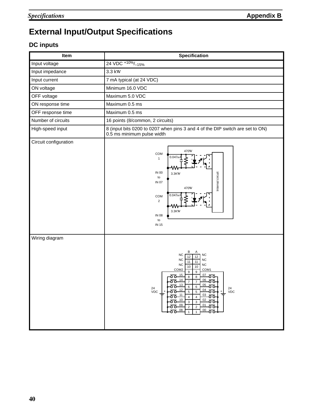# **External Input/Output Specifications**

### **DC inputs**

| Item                  | <b>Specification</b>                                                                                                                                                                                                                                                                                                                                                                                                                                                                                                                                                                                                                                                                                                                                                                                                          |
|-----------------------|-------------------------------------------------------------------------------------------------------------------------------------------------------------------------------------------------------------------------------------------------------------------------------------------------------------------------------------------------------------------------------------------------------------------------------------------------------------------------------------------------------------------------------------------------------------------------------------------------------------------------------------------------------------------------------------------------------------------------------------------------------------------------------------------------------------------------------|
| Input voltage         | 24 VDC +10%/ <sub>-15%</sub>                                                                                                                                                                                                                                                                                                                                                                                                                                                                                                                                                                                                                                                                                                                                                                                                  |
| Input impedance       | 3.3 kW                                                                                                                                                                                                                                                                                                                                                                                                                                                                                                                                                                                                                                                                                                                                                                                                                        |
| Input current         | 7 mA typical (at 24 VDC)                                                                                                                                                                                                                                                                                                                                                                                                                                                                                                                                                                                                                                                                                                                                                                                                      |
| ON voltage            | Minimum 16.0 VDC                                                                                                                                                                                                                                                                                                                                                                                                                                                                                                                                                                                                                                                                                                                                                                                                              |
| OFF voltage           | Maximum 5.0 VDC                                                                                                                                                                                                                                                                                                                                                                                                                                                                                                                                                                                                                                                                                                                                                                                                               |
| ON response time      | Maximum 0.5 ms                                                                                                                                                                                                                                                                                                                                                                                                                                                                                                                                                                                                                                                                                                                                                                                                                |
| OFF response time     | Maximum 0.5 ms                                                                                                                                                                                                                                                                                                                                                                                                                                                                                                                                                                                                                                                                                                                                                                                                                |
| Number of circuits    | 16 points (8/common, 2 circuits)                                                                                                                                                                                                                                                                                                                                                                                                                                                                                                                                                                                                                                                                                                                                                                                              |
| High-speed input      | 8 (input bits 0200 to 0207 when pins 3 and 4 of the DIP switch are set to ON)<br>0.5 ms minimum pulse width                                                                                                                                                                                                                                                                                                                                                                                                                                                                                                                                                                                                                                                                                                                   |
| Circuit configuration | 470W<br>COM<br>0.047m<br>1<br><b>IN 00</b><br>Internal circuit<br>3.3KW<br>to<br><b>IN 07</b><br>470W<br>0.047m<br>COM<br>$\overline{2}$<br>w<br>3.3KW<br><b>IN 08</b><br>to<br>IN 15                                                                                                                                                                                                                                                                                                                                                                                                                                                                                                                                                                                                                                         |
| Wiring diagram        | В<br>Α<br><b>NC</b><br>NC<br>12<br>12<br>$_{\rm NC}$<br>NC<br>11<br>11<br>NC<br>$_{\rm NC}$<br>10<br>10<br>COM2<br>COM1<br>9<br>$\boldsymbol{9}$<br>15<br>07<br>8<br>০০<br>o o<br>8<br>14<br>06<br>$\overline{7}$<br>੦੦<br>$\overline{7}$<br>ᅙᅙ<br>13<br>05<br>6<br>$24$<br>VDC<br>$\frac{24}{\text{VDC}}$ $\left  \cdot \right $<br>$rac{12}{00}$<br>$\frac{1}{24}$<br>$\overline{5}$<br>$\overline{5}$<br>$\frac{1}{\sqrt{2}}$<br>$\frac{1}{\sqrt{2}}$<br>$\frac{1}{\sqrt{2}}$<br>$\frac{1}{\sqrt{2}}$<br>$\frac{1}{\sqrt{2}}$<br>$\frac{1}{\sqrt{2}}$<br>$\frac{1}{\sqrt{2}}$<br>$\frac{1}{\sqrt{2}}$<br>$\frac{1}{\sqrt{2}}$<br>$\frac{03}{200}$<br>$\overline{4}$<br>$\overline{4}$<br>$02 - 00$<br>$\overline{3}$<br>$\mathsf 3$<br>$\frac{01}{00}$<br>$\overline{2}$<br>$\sqrt{2}$<br>$\frac{00}{200}$<br>$\mathbf{1}$ |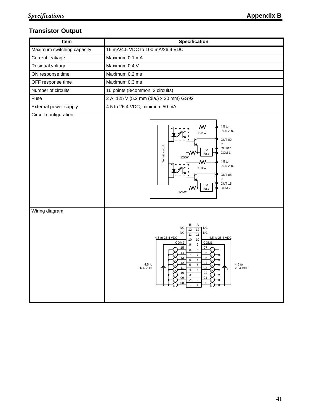#### **Transistor Output**

| Item                       | <b>Specification</b>                                                                                                                                                                                                                                                                                                                                                                                                                                                                                                                                                                                                 |  |  |
|----------------------------|----------------------------------------------------------------------------------------------------------------------------------------------------------------------------------------------------------------------------------------------------------------------------------------------------------------------------------------------------------------------------------------------------------------------------------------------------------------------------------------------------------------------------------------------------------------------------------------------------------------------|--|--|
| Maximum switching capacity | 16 mA/4.5 VDC to 100 mA/26.4 VDC                                                                                                                                                                                                                                                                                                                                                                                                                                                                                                                                                                                     |  |  |
| Current leakage            | Maximum 0.1 mA                                                                                                                                                                                                                                                                                                                                                                                                                                                                                                                                                                                                       |  |  |
| Residual voltage           | Maximum 0.4 V                                                                                                                                                                                                                                                                                                                                                                                                                                                                                                                                                                                                        |  |  |
| ON response time           | Maximum 0.2 ms                                                                                                                                                                                                                                                                                                                                                                                                                                                                                                                                                                                                       |  |  |
| OFF response time          | Maximum 0.3 ms                                                                                                                                                                                                                                                                                                                                                                                                                                                                                                                                                                                                       |  |  |
| Number of circuits         | 16 points (8/common, 2 circuits)                                                                                                                                                                                                                                                                                                                                                                                                                                                                                                                                                                                     |  |  |
| Fuse                       | 2 A, 125 V (5.2 mm (dia.) x 20 mm) GG92                                                                                                                                                                                                                                                                                                                                                                                                                                                                                                                                                                              |  |  |
| External power supply      | 4.5 to 26.4 VDC, minimum 50 mA                                                                                                                                                                                                                                                                                                                                                                                                                                                                                                                                                                                       |  |  |
| Circuit configuration      | 4.5 <sub>to</sub><br>₩<br>26.4 VDC<br>10KW<br>OUT 00<br>to<br>Internal circuit<br>OUT07<br>2A<br>COM <sub>1</sub><br>fuse<br>12KW<br>4.5 to<br>₩<br>26.4 VDC<br>10KW<br>OUT 08<br>to<br>OUT 15<br>2A<br>COM <sub>2</sub><br>fuse<br>12KW                                                                                                                                                                                                                                                                                                                                                                             |  |  |
| Wiring diagram             | В<br>Α<br>${\sf NC}$<br><b>NC</b><br>12<br>12<br><b>NC</b><br>NC<br>11<br>11<br>4.5 to 26.4 VDC<br>4.5 to 26.4 VDC<br>10<br>$10$<br>COM <sub>2</sub><br>COM1<br>$\boldsymbol{9}$<br>$\boldsymbol{9}$<br>15<br>07<br>8<br>$\bf8$<br>14<br>06<br>$\boldsymbol{7}$<br>$\overline{7}$<br>13<br>05<br>$\overline{6}$<br>$\overline{6}$<br>12<br>04<br>$\overline{5}$<br>$\overline{5}$<br>4.5 to<br>4.5 to<br>26.4 VDC<br>03<br>26.4 VDC<br>11<br>$\overline{4}$<br>$\overline{4}$<br>$10$<br>02<br>$\mathbf 3$<br>$\ensuremath{\mathsf{3}}$<br>09<br>01<br>$\overline{2}$<br>$\sqrt{2}$<br>08<br>00<br>$\mathbf{1}$<br>1 |  |  |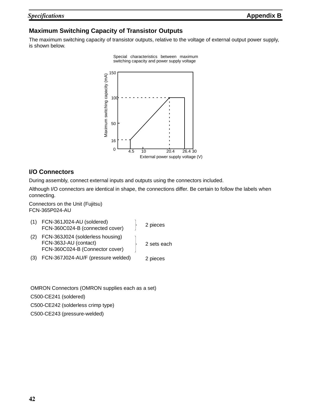#### **Maximum Switching Capacity of Transistor Outputs**

The maximum switching capacity of transistor outputs, relative to the voltage of external output power supply, is shown below.

Special characteristics between maximum



#### **I/O Connectors**

During assembly, connect external inputs and outputs using the connectors included.

Although I/O connectors are identical in shape, the connections differ. Be certain to follow the labels when connecting.

Connectors on the Unit (Fujitsu) FCN-365P024-AU

- (1) FCN-361J024-AU (soldered) FCN-360C024-B (connected cover)
- (2) FCN-363J024 (solderless housing) FCN-363J-AU (contact) FCN-360C024-B (Connector cover)
- (3) FCN-367J024-AU/F (pressure welded)

2 sets each

2 pieces

2 pieces

OMRON Connectors (OMRON supplies each as a set) C500-CE241 (soldered) C500-CE242 (solderless crimp type) C500-CE243 (pressure-welded)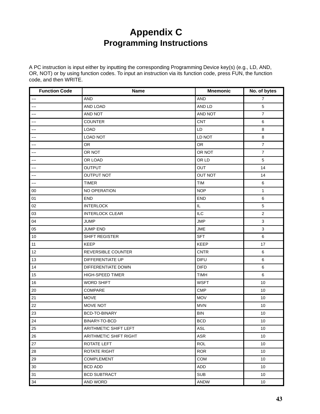# **Appendix C Programming Instructions**

A PC instruction is input either by inputting the corresponding Programming Device key(s) (e.g., LD, AND, OR, NOT) or by using function codes. To input an instruction via its function code, press FUN, the function code, and then WRITE.

| <b>Function Code</b>                | <b>Name</b>            | <b>Mnemonic</b> | No. of bytes   |
|-------------------------------------|------------------------|-----------------|----------------|
| $-\!$ $\!-$                         | <b>AND</b>             | <b>AND</b>      | $\overline{7}$ |
| $\hspace{0.05cm}$ $\hspace{0.05cm}$ | AND LOAD               | AND LD          | $\,$ 5 $\,$    |
| $-$                                 | AND NOT                | AND NOT         | $\overline{7}$ |
| $\overline{\phantom{a}}$            | <b>COUNTER</b>         | <b>CNT</b>      | $\,6\,$        |
| $\overline{\phantom{a}}$            | <b>LOAD</b>            | LD              | 8              |
| $-\!$ $\!-$                         | <b>LOAD NOT</b>        | LD NOT          | 8              |
| $\overline{\phantom{a}}$            | OR                     | <b>OR</b>       | $\overline{7}$ |
| --                                  | OR NOT                 | OR NOT          | $\overline{7}$ |
| $\qquad \qquad -$                   | OR LOAD                | OR LD           | $\,$ 5 $\,$    |
| --                                  | OUTPUT                 | OUT             | 14             |
| $\overline{\phantom{a}}$            | <b>OUTPUT NOT</b>      | <b>OUT NOT</b>  | 14             |
| $\overline{\phantom{a}}$            | <b>TIMER</b>           | <b>TIM</b>      | 6              |
| $00\,$                              | NO OPERATION           | <b>NOP</b>      | 1              |
| 01                                  | <b>END</b>             | <b>END</b>      | 6              |
| 02                                  | <b>INTERLOCK</b>       | IL              | $\mathbf 5$    |
| 03                                  | <b>INTERLOCK CLEAR</b> | ILC             | $\overline{2}$ |
| 04                                  | <b>JUMP</b>            | <b>JMP</b>      | $\mathbf{3}$   |
| 05                                  | JUMP END               | <b>JME</b>      | $\mathbf{3}$   |
| $10$                                | SHIFT REGISTER         | <b>SFT</b>      | 6              |
| 11                                  | <b>KEEP</b>            | KEEP            | 17             |
| 12                                  | REVERSIBLE COUNTER     | <b>CNTR</b>     | 6              |
| 13                                  | DIFFERENTIATE UP       | <b>DIFU</b>     | 6              |
| 14                                  | DIFFERENTIATE DOWN     | <b>DIFD</b>     | 6              |
| 15                                  | HIGH-SPEED TIMER       | <b>TIMH</b>     | 6              |
| 16                                  | <b>WORD SHIFT</b>      | <b>WSFT</b>     | 10             |
| 20                                  | COMPARE                | <b>CMP</b>      | 10             |
| 21                                  | <b>MOVE</b>            | <b>MOV</b>      | 10             |
| 22                                  | MOVE NOT               | <b>MVN</b>      | 10             |
| 23                                  | BCD-TO-BINARY          | <b>BIN</b>      | 10             |
| 24                                  | BINARY-TO-BCD          | BCD             | $10\,$         |
| 25                                  | ARITHMETIC SHIFT LEFT  | ASL             | 10             |
| 26                                  | ARITHMETIC SHIFT RIGHT | ASR             | 10             |
| 27                                  | ROTATE LEFT            | <b>ROL</b>      | 10             |
| 28                                  | ROTATE RIGHT           | <b>ROR</b>      | 10             |
| 29                                  | <b>COMPLEMENT</b>      | COM             | 10             |
| 30                                  | <b>BCD ADD</b>         | ADD             | 10             |
| 31                                  | <b>BCD SUBTRACT</b>    | <b>SUB</b>      | 10             |
| 34                                  | AND WORD               | ANDW            | 10             |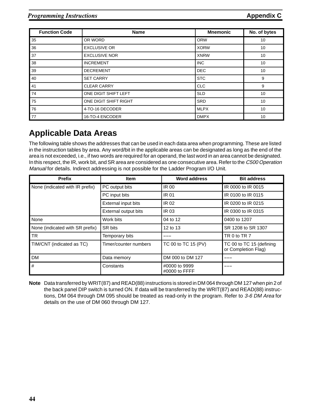| <b>Function Code</b> | <b>Name</b>           | <b>Mnemonic</b> | No. of bytes |
|----------------------|-----------------------|-----------------|--------------|
| 35                   | OR WORD               | <b>ORW</b>      | 10           |
| 36                   | <b>EXCLUSIVE OR</b>   | <b>XORW</b>     | 10           |
| 37                   | <b>EXCLUSIVE NOR</b>  | <b>XNRW</b>     | 10           |
| 38                   | <b>INCREMENT</b>      | <b>INC</b>      | 10           |
| 39                   | <b>DECREMENT</b>      | <b>DEC</b>      | 10           |
| 40                   | <b>SET CARRY</b>      | <b>STC</b>      | 9            |
| 41                   | <b>CLEAR CARRY</b>    | <b>CLC</b>      | 9            |
| 74                   | ONE DIGIT SHIFT LEFT  | <b>SLD</b>      | 10           |
| 75                   | ONE DIGIT SHIFT RIGHT | <b>SRD</b>      | 10           |
| 76                   | 4-TO-16 DECODER       | <b>MLPX</b>     | 10           |
| 77                   | 16-TO-4 ENCODER       | <b>DMPX</b>     | 10           |

## **Applicable Data Areas**

The following table shows the addresses that can be used in each data area when programming. These are listed in the instruction tables by area. Any word/bit in the applicable areas can be designated as long as the end of the area is not exceeded, i.e., if two words are required for an operand, the last word in an area cannot be designated. In this respect, the IR, work bit, and SR area are considered as one consecutive area. Refer to the C500 Operation Manual for details. Indirect addressing is not possible for the Ladder Program I/O Unit.

| <b>Prefix</b>                   | Item                  | <b>Word address</b>            | <b>Bit address</b>                              |
|---------------------------------|-----------------------|--------------------------------|-------------------------------------------------|
| None (indicated with IR prefix) | PC output bits        | <b>IR 00</b>                   | IR 0000 to IR 0015                              |
|                                 | PC input bits         | <b>IR 01</b>                   | IR 0100 to IR 0115                              |
|                                 | External input bits   | <b>IR 02</b>                   | IR 0200 to IR 0215                              |
|                                 | External output bits  | <b>IR 03</b>                   | IR 0300 to IR 0315                              |
| None                            | Work bits             | 04 to 12                       | 0400 to 1207                                    |
| None (indicated with SR prefix) | SR bits               | 12 to 13                       | SR 1208 to SR 1307                              |
| TR.                             | Temporary bits        |                                | TR 0 to TR 7                                    |
| TIM/CNT (indicated as TC)       | Timer/counter numbers | TC 00 to TC 15 (PV)            | TC 00 to TC 15 (defining<br>or Completion Flag) |
| <b>DM</b>                       | Data memory           | DM 000 to DM 127               |                                                 |
| #                               | Constants             | #0000 to 9999<br>#0000 to FFFF |                                                 |

**Note** Data transferred by WRIT(87) and READ(88) instructions is stored in DM 064 through DM 127 when pin 2 of the back panel DIP switch is turned ON. If data will be transferred by the WRIT(87) and READ(88) instructions, DM 064 through DM 095 should be treated as read-only in the program. Refer to 3-6 DM Area for details on the use of DM 060 through DM 127.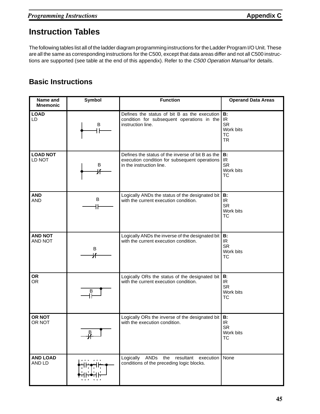## **Instruction Tables**

The following tables list all of the ladder diagram programming instructions for the Ladder Program I/O Unit. These are all the same as corresponding instructions for the C500, except that data areas differ and not all C500 instructions are supported (see table at the end of this appendix). Refer to the C500 Operation Manual for details.

#### **Basic Instructions**

| Name and<br><b>Mnemonic</b>      | Symbol       | <b>Function</b>                                                                                                                | <b>Operand Data Areas</b>                                            |
|----------------------------------|--------------|--------------------------------------------------------------------------------------------------------------------------------|----------------------------------------------------------------------|
| <b>LOAD</b><br>LD                | B            | Defines the status of bit B as the execution<br>condition for subsequent operations in the<br>instruction line.                | <b>B:</b><br>IR.<br><b>SR</b><br>Work bits<br><b>TC</b><br><b>TR</b> |
| <b>LOAD NOT</b><br>LD NOT        | B<br>Ж       | Defines the status of the inverse of bit B as the<br>execution condition for subsequent operations<br>in the instruction line. | B:<br>IR<br><b>SR</b><br>Work bits<br><b>TC</b>                      |
| <b>AND</b><br><b>AND</b>         | В<br>╽┢      | Logically ANDs the status of the designated bit<br>with the current execution condition.                                       | B:<br>IR.<br><b>SR</b><br>Work bits<br><b>TC</b>                     |
| <b>AND NOT</b><br><b>AND NOT</b> | $\sf B$<br>氺 | Logically ANDs the inverse of the designated bit<br>with the current execution condition.                                      | B:<br>IR.<br><b>SR</b><br>Work bits<br><b>TC</b>                     |
| <b>OR</b><br><b>OR</b>           | В            | Logically ORs the status of the designated bit<br>with the current execution condition.                                        | B:<br>IR.<br><b>SR</b><br>Work bits<br><b>TC</b>                     |
| <b>OR NOT</b><br>OR NOT          |              | Logically ORs the inverse of the designated bit<br>with the execution condition.                                               | <b>B:</b><br>IR<br><b>SR</b><br>Work bits<br><b>TC</b>               |
| <b>AND LOAD</b><br>AND LD        |              | ANDs<br>Logically<br>resultant<br>execution<br>the<br>conditions of the preceding logic blocks.                                | None                                                                 |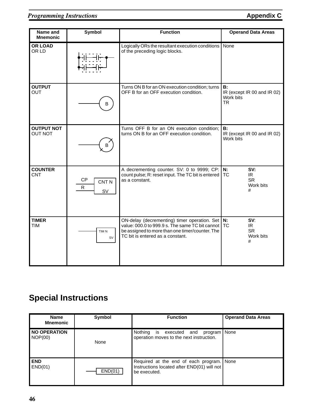**TIMER** TIM

#### **Programming Instructions Appendix C**

| Name and<br><b>Mnemonic</b>  | <b>Symbol</b>                                   | <b>Function</b>                                                                                                    | <b>Operand Data Areas</b>                                    |
|------------------------------|-------------------------------------------------|--------------------------------------------------------------------------------------------------------------------|--------------------------------------------------------------|
| <b>OR LOAD</b><br>OR LD      |                                                 | Logically ORs the resultant execution conditions<br>of the preceding logic blocks.                                 | None                                                         |
| <b>OUTPUT</b><br>OUT         | B                                               | Turns ON B for an ON execution condition; turns<br>OFF B for an OFF execution condition.                           | B:<br>IR (except IR 00 and IR 02)<br>Work bits<br><b>TR</b>  |
| <b>OUTPUT NOT</b><br>OUT NOT | B                                               | Turns OFF B for an ON execution condition:<br>turns ON B for an OFF execution condition.                           | B:<br>IR (except IR 00 and IR 02)<br>Work bits               |
| <b>COUNTER</b><br>CNT        | <b>CP</b><br>CNT <sub>N</sub><br>R<br><b>SV</b> | A decrementing counter. SV: 0 to 9999; CP:<br>count pulse; R: reset input. The TC bit is entered<br>as a constant. | N:<br>SV:<br><b>TC</b><br>IR.<br><b>SR</b><br>Work bits<br># |

ON-delay (decrementing) timer operation. Set value: 000.0 to 999.9 s. The same TC bit cannot be assigned to more than one timer/counter. The **N:** TC

**SV**: IR SR Work bits #

TC bit is entered as a constant.

## **Special Instructions**

TIM N SV

| <b>Name</b><br><b>Mnemonic</b> | Symbol  | <b>Function</b>                                                                                          | <b>Operand Data Areas</b> |
|--------------------------------|---------|----------------------------------------------------------------------------------------------------------|---------------------------|
| <b>NO OPERATION</b><br>NOP(00) | None    | Nothing<br>program   None<br>executed<br>is<br>and<br>operation moves to the next instruction.           |                           |
| <b>END</b><br>END(01)          | END(01) | Required at the end of each program. None<br>Instructions located after END(01) will not<br>be executed. |                           |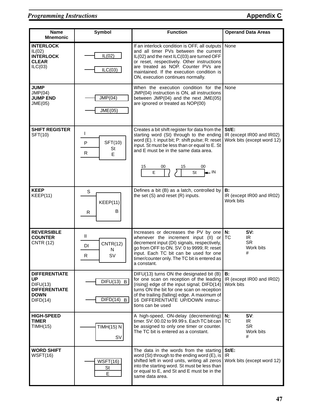| <b>Name</b><br><b>Mnemonic</b>                                                                   | <b>Symbol</b>                                     | <b>Function</b>                                                                                                                                                                                                                                                                                             | <b>Operand Data Areas</b>                                           |  |
|--------------------------------------------------------------------------------------------------|---------------------------------------------------|-------------------------------------------------------------------------------------------------------------------------------------------------------------------------------------------------------------------------------------------------------------------------------------------------------------|---------------------------------------------------------------------|--|
| <b>INTERLOCK</b><br>IL(02)<br><b>INTERLOCK</b><br><b>CLEAR</b><br>ILC(03)                        | IL(02)<br>ILC(03)                                 | If an interlock condition is OFF, all outputs<br>and all timer PVs between the current<br>IL(02) and the next ILC(03) are turned OFF<br>or reset, respectively. Other instructions<br>are treated as NOP. Counter PVs are<br>maintained. If the execution condition is<br>ON, execution continues normally. | None                                                                |  |
| <b>JUMP</b><br>JMP(04)<br><b>JUMP END</b><br>JME(05)                                             | JMP(04)<br>JME(05)                                | When the execution condition for the<br>JMP(04) instruction is ON, all instructions<br>between JMP(04) and the next JME(05)<br>are ignored or treated as NOP(00)                                                                                                                                            | None                                                                |  |
| <b>SHIFT REGISTER</b><br>SFT(10)                                                                 | L<br>SFT(10)<br>$\mathsf{P}$<br>St<br>R<br>E      | Creates a bit shift register for data from the<br>starting word (St) through to the ending<br>word (E). I: input bit; P: shift pulse; R: reset<br>input. St must be less than or equal to E. St<br>and E must be in the same data area.<br>00<br>15<br>00<br>15<br>ه IN<br>E<br>St                          | $St/E$ :<br>IR (except IR00 and IR02)<br>Work bits (except word 12) |  |
| <b>KEEP</b><br>KEEP(11)                                                                          | S<br>KEEP(11)<br>B<br>R                           | Defines a bit (B) as a latch, controlled by<br>the set $(S)$ and reset $(R)$ inputs.                                                                                                                                                                                                                        | <b>B:</b><br>IR (except IR00 and IR02)<br>Work bits                 |  |
| <b>REVERSIBLE</b><br><b>COUNTER</b><br><b>CNTR (12)</b>                                          | Ш<br>CNTR(12)<br>DI.<br>N<br>SV<br>R              | Increases or decreases the PV by one<br>whenever the increment input (II) or<br>decrement input (DI) signals, respectively,<br>go from OFF to ON. SV: 0 to 9999; R: reset<br>input. Each TC bit can be used for one<br>timer/counter only. The TC bit is entered as<br>a constant.                          | N:<br>SV:<br>TC<br>IR.<br><b>SR</b><br>Work bits<br>#               |  |
| <b>DIFFERENTIATE</b><br><b>UP</b><br>DIFU(13)<br><b>DIFFERENTIATE</b><br><b>DOWN</b><br>DIFD(14) | DIFU(13)<br>$\mathsf{B}$<br>DIFD(14)<br>$\vert$ B | DIFU(13) turns ON the designated bit (B)<br>for one scan on reception of the leading<br>(rising) edge of the input signal; DIFD(14)<br>turns ON the bit for one scan on reception<br>of the trailing (falling) edge. A maximum of<br>16 DIFFERENTIATE UP/DOWN instruc-<br>tions can be used                 | <b>B:</b><br>IR (except IR00 and IR02)<br>Work bits                 |  |
| <b>HIGH-SPEED</b><br><b>TIMER</b><br>TIMH(15)                                                    | <b>TIMH(15) N</b><br>SV                           | A high-speed, ON-delay (decrementing)<br>timer. SV: 00.02 to 99.99 s. Each TC bit can<br>be assigned to only one timer or counter.<br>The TC bit is entered as a constant.                                                                                                                                  | N:<br>SV:<br><b>TC</b><br>IR.<br>SR.<br>Work bits<br>#              |  |
| <b>WORD SHIFT</b><br>WSFT(16)                                                                    | WSFT(16)<br>St<br>E                               | The data in the words from the starting<br>word (St) through to the ending word $(E)$ , is<br>shifted left in word units, writing all zeros<br>into the starting word. St must be less than<br>or equal to E, and St and E must be in the<br>same data area.                                                | $St/E$ :<br>IR<br>Work bits (except word 12)                        |  |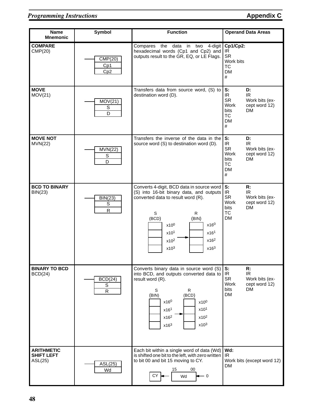| Name<br><b>Mnemonic</b>                           | Symbol                                   | <b>Function</b>                                                                                                                                                                                                                                                                                       | <b>Operand Data Areas</b>                                                                                                            |  |
|---------------------------------------------------|------------------------------------------|-------------------------------------------------------------------------------------------------------------------------------------------------------------------------------------------------------------------------------------------------------------------------------------------------------|--------------------------------------------------------------------------------------------------------------------------------------|--|
| <b>COMPARE</b><br>CMP(20)                         | CMP(20)<br>Cp1<br>Cp2                    | Compares the data in two<br>4-digit<br>hexadecimal words (Cp1 and Cp2) and<br>outputs result to the GR, EQ, or LE Flags.                                                                                                                                                                              | Cp1/Cp2:<br>IR<br><b>SR</b><br>Work bits<br><b>TC</b><br><b>DM</b><br>$\#$                                                           |  |
| <b>MOVE</b><br>MOV(21)                            | MOV(21)<br>$\mathbb S$<br>$\overline{D}$ | Transfers data from source word, (S) to<br>destination word (D).                                                                                                                                                                                                                                      | S:<br>D:<br>IR<br>IR.<br><b>SR</b><br>Work bits (ex-<br>Work<br>cept word 12)<br><b>DM</b><br>bits<br><b>TC</b><br><b>DM</b><br>$\#$ |  |
| <b>MOVE NOT</b><br>MVN(22)                        | <b>MVN(22)</b><br>S<br>D                 | Transfers the inverse of the data in the<br>source word (S) to destination word (D).                                                                                                                                                                                                                  | S:<br>D:<br>IR<br>IR<br><b>SR</b><br>Work bits (ex-<br>Work<br>cept word 12)<br><b>DM</b><br>bits<br><b>TC</b><br><b>DM</b><br>#     |  |
| <b>BCD TO BINARY</b><br><b>BIN(23)</b>            | <b>BIN(23)</b><br>S<br>${\sf R}$         | Converts 4-digit, BCD data in source word<br>(S) into 16-bit binary data, and outputs<br>converted data to result word (R).<br>S<br>R<br>(BCD)<br>(BIN)<br>$x16^0$<br>x10 <sup>0</sup><br>x10 <sup>1</sup><br>x16 <sup>1</sup><br>x16 <sup>2</sup><br>$x10^2$<br>x10 <sup>3</sup><br>x16 <sup>3</sup> | S:<br>R:<br>IR<br>IR.<br><b>SR</b><br>Work bits (ex-<br>Work<br>cept word 12)<br><b>DM</b><br>bits<br><b>TC</b><br><b>DM</b>         |  |
| <b>BINARY TO BCD</b><br>BCD(24)                   | BCD(24)<br>S<br>$\overline{R}$           | Converts binary data in source word (S)<br>into BCD, and outputs converted data to<br>result word (R).<br>S<br>$\mathsf{R}$<br>(BCD)<br>(BIN)<br>$x16^0$<br>x10 <sup>0</sup><br>x101<br>x16 <sup>1</sup><br>x16 <sup>2</sup><br>x10 <sup>2</sup><br>x10 <sup>3</sup><br>x16 <sup>3</sup>              | S:<br>R:<br>IR<br>IR<br><b>SR</b><br>Work bits (ex-<br>Work<br>cept word 12)<br><b>DM</b><br>bits<br><b>DM</b>                       |  |
| <b>ARITHMETIC</b><br><b>SHIFT LEFT</b><br>ASL(25) | ASL(25)<br>Wd                            | Each bit within a single word of data (Wd)<br>is shifted one bit to the left, with zero written<br>to bit 00 and bit 15 moving to CY.<br>15<br>00<br>СY<br>Wd<br>0                                                                                                                                    | Wd:<br>IR.<br>Work bits (except word 12)<br><b>DM</b>                                                                                |  |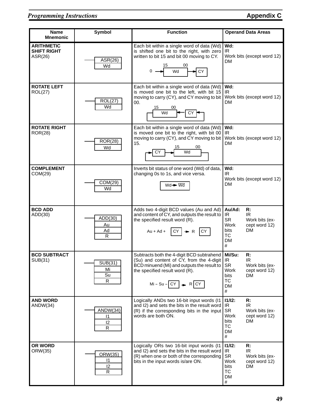| <b>Name</b><br><b>Mnemonic</b>                     | <b>Symbol</b>                       | <b>Function</b>                                                                                                                                                                                                            | <b>Operand Data Areas</b>                                                                                                                        |
|----------------------------------------------------|-------------------------------------|----------------------------------------------------------------------------------------------------------------------------------------------------------------------------------------------------------------------------|--------------------------------------------------------------------------------------------------------------------------------------------------|
| <b>ARITHMETIC</b><br><b>SHIFT RIGHT</b><br>ASR(26) | ASR(26)<br>Wd                       | Each bit within a single word of data (Wd)<br>is shifted one bit to the right, with zero<br>written to bit 15 and bit 00 moving to CY.<br>15<br>00<br>0<br>CY<br>Wd                                                        | Wd:<br>IR<br>Work bits (except word 12)<br>DM                                                                                                    |
| <b>ROTATE LEFT</b><br>ROL(27)                      | <b>ROL(27)</b><br>Wd                | Each bit within a single word of data (Wd)<br>is moved one bit to the left, with bit 15<br>moving to carry (CY), and CY moving to bit<br>00.<br>15<br>00<br>Wd<br>СY                                                       | Wd:<br>IR<br>Work bits (except word 12)<br>DM                                                                                                    |
| <b>ROTATE RIGHT</b><br>ROR(28)                     | <b>ROR(28)</b><br>Wd                | Each bit within a single word of data (Wd)<br>is moved one bit to the right, with bit 00<br>moving to carry (CY), and CY moving to bit<br>15.<br>15<br>00<br>Wd<br>СY                                                      | Wd:<br>IR<br>Work bits (except word 12)<br>DM                                                                                                    |
| <b>COMPLEMENT</b><br>COM(29)                       | COM(29)<br>Wd                       | Inverts bit status of one word (Wd) of data,<br>changing 0s to 1s, and vice versa.<br>$Wd \rightarrow Wd$                                                                                                                  | Wd:<br>IR.<br>Work bits (except word 12)<br>DM                                                                                                   |
| <b>BCD ADD</b><br>ADD(30)                          | ADD(30)<br>Au<br>Ad<br>$\mathsf{R}$ | Adds two 4-digit BCD values (Au and Ad)<br>and content of CY, and outputs the result to<br>the specified result word (R).<br>$Au + Ad +$<br>I CY.<br>CY<br>$\rightarrow R$                                                 | Au/Ad:<br>R:<br>IR.<br>IR.<br><b>SR</b><br>Work bits (ex-<br><b>Work</b><br>cept word 12)<br><b>DM</b><br>bits<br><b>TC</b><br><b>DM</b><br>$\#$ |
| <b>BCD SUBTRACT</b><br>SUB(31)                     | SUB(31)<br>Mi<br>Su<br>${\sf R}$    | Subtracts both the 4-digit BCD subtrahend   Mi/Su:<br>(Su) and content of CY, from the 4-digit   IR<br>BCD minuend (Mi) and outputs the result to<br>the specified result word (R).<br>$Mi-Su- CY $ $\rightarrow$ R $ CY $ | R:<br>IR<br><b>SR</b><br>Work bits (ex-<br>Work<br>cept word 12)<br><b>DM</b><br>bits<br>TC<br>DM<br>#                                           |
| <b>AND WORD</b><br>ANDW(34)                        | ANDW(34)<br>$\mathsf{I}$<br>12<br>R | Logically ANDs two 16-bit input words (I1<br>and I2) and sets the bits in the result word   IR<br>(R) if the corresponding bits in the input<br>words are both ON.                                                         | 11/12:<br>R:<br>IR.<br><b>SR</b><br>Work bits (ex-<br>Work<br>cept word 12)<br>bits<br>DM<br><b>TC</b><br><b>DM</b><br>#                         |
| OR WORD<br>ORW(35)                                 | ORW(35)<br>11<br>12<br>R            | Logically ORs two 16-bit input words (I1<br>and I2) and sets the bits in the result word<br>(R) when one or both of the corresponding<br>bits in the input words is/are ON.                                                | 11/12:<br>R:<br>IR<br>IR<br><b>SR</b><br>Work bits (ex-<br>Work<br>cept word 12)<br>DM<br>bits<br>TC<br><b>DM</b><br>#                           |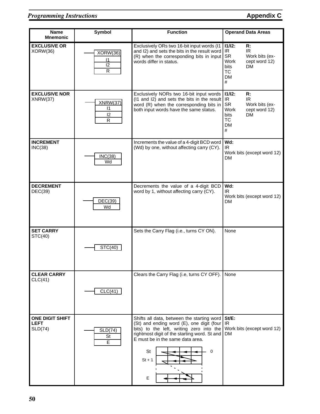| <b>Name</b><br><b>Mnemonic</b>                   | <b>Symbol</b>                                 | <b>Function</b>                                                                                                                                                                                                                                     | <b>Operand Data Areas</b>                                                                                                                   |
|--------------------------------------------------|-----------------------------------------------|-----------------------------------------------------------------------------------------------------------------------------------------------------------------------------------------------------------------------------------------------------|---------------------------------------------------------------------------------------------------------------------------------------------|
| <b>EXCLUSIVE OR</b><br>XORW(36)                  | XORW(36)<br>$\mathsf{I}$<br>12<br>${\sf R}$   | Exclusively ORs two 16-bit input words (I1<br>and I2) and sets the bits in the result word<br>(R) when the corresponding bits in input<br>words differ in status.                                                                                   | $11/12$ :<br>R:<br>IR<br>IR.<br><b>SR</b><br>Work bits (ex-<br>Work<br>cept word 12)<br><b>DM</b><br>bits<br><b>TC</b><br><b>DM</b><br>$\#$ |
| <b>EXCLUSIVE NOR</b><br>XNRW(37)                 | XNRW(37)<br>$\vert$ 1<br>12<br>$\overline{R}$ | Exclusively NORs two 16-bit input words<br>(I1 and I2) and sets the bits in the result<br>word (R) when the corresponding bits in<br>both input words have the same status.                                                                         | $11/12$ :<br>R:<br>IR<br>IR.<br><b>SR</b><br>Work bits (ex-<br>Work<br>cept word 12)<br>DМ<br>bits<br><b>TC</b><br><b>DM</b><br>#           |
| <b>INCREMENT</b><br>INC(38)                      | INC(38)<br>Wd                                 | Increments the value of a 4-digit BCD word<br>(Wd) by one, without affecting carry (CY).                                                                                                                                                            | Wd:<br>IR<br>Work bits (except word 12)<br><b>DM</b>                                                                                        |
| <b>DECREMENT</b><br>DEC(39)                      | DEC(39)<br>Wd                                 | Decrements the value of a 4-digit BCD<br>word by 1, without affecting carry (CY).                                                                                                                                                                   | Wd:<br>IR.<br>Work bits (except word 12)<br><b>DM</b>                                                                                       |
| <b>SET CARRY</b><br>STC(40)                      | STC(40)                                       | Sets the Carry Flag (i.e., turns CY ON).                                                                                                                                                                                                            | None                                                                                                                                        |
| <b>CLEAR CARRY</b><br>CLC(41)                    | CLC(41)                                       | Clears the Carry Flag (i.e, turns CY OFF).                                                                                                                                                                                                          | None                                                                                                                                        |
| <b>ONE DIGIT SHIFT</b><br><b>LEFT</b><br>SLD(74) | SLD(74)<br><b>St</b><br>E                     | Shifts all data, between the starting word<br>(St) and ending word (E), one digit (four<br>bits) to the left, writing zero into the<br>rightmost digit of the starting word. St and<br>E must be in the same data area.<br>St<br>0<br>$St + 1$<br>Е | $St/E$ :<br>IR<br>Work bits (except word 12)<br><b>DM</b>                                                                                   |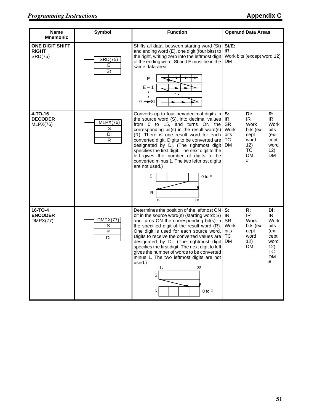#### **Programming Instructions Appendix C**

| <b>Name</b><br><b>Mnemonic</b>                    | <b>Symbol</b>                         | <b>Function</b>                                                                                                                                                                                                                                                                                                                                                                                                                                                                                                      | <b>Operand Data Areas</b>                                                                                                                                                                                                   |
|---------------------------------------------------|---------------------------------------|----------------------------------------------------------------------------------------------------------------------------------------------------------------------------------------------------------------------------------------------------------------------------------------------------------------------------------------------------------------------------------------------------------------------------------------------------------------------------------------------------------------------|-----------------------------------------------------------------------------------------------------------------------------------------------------------------------------------------------------------------------------|
| <b>ONE DIGIT SHIFT</b><br><b>RIGHT</b><br>SRD(75) | <b>SRD(75)</b><br>Е<br>St             | Shifts all data, between starting word (St)<br>and ending word (E), one digit (four bits) to<br>the right, writing zero into the leftmost digit<br>of the ending word. St and E must be in the<br>same data area.<br>E<br>$E - 1$<br>$0 \rightarrow$ s                                                                                                                                                                                                                                                               | $St/E$ :<br>IR.<br>Work bits (except word 12)<br>DM                                                                                                                                                                         |
| 4-TO-16<br><b>DECODER</b><br>MLPX(76)             | MLPX(76)<br>S<br>Di<br>$\overline{R}$ | Converts up to four hexadecimal digits in<br>the source word (S), into decimal values<br>from 0 to 15, and turns ON the<br>corresponding bit(s) in the result word(s)<br>(R). There is one result word for each<br>converted digit. Digits to be converted are<br>designated by Di. (The rightmost digit<br>specifies the first digit. The next digit to the<br>left gives the number of digits to be<br>converted minus 1. The two leftmost digits<br>are not used.)<br>S<br>$0$ to $F$<br>R<br>15<br>00            | R:<br>S:<br>Di:<br>IR.<br>IR.<br>IR.<br><b>SR</b><br><b>Work</b><br>Work<br>Work<br>bits (ex-<br><b>bits</b><br>bits<br>cept<br>(ex-<br><b>TC</b><br>word<br>cept<br><b>DM</b><br>12)<br>word<br>ТC<br>12)<br>DM<br>DM<br># |
| 16-TO-4<br><b>ENCODER</b><br>DMPX(77)             | DMPX(77)<br>S<br>$\overline{R}$<br>Di | Determines the position of the leftmost ON<br>bit in the source word(s) (starting word: S)<br>and turns ON the corresponding bit(s) in<br>the specified digit of the result word (R).<br>One digit is used for each source word.<br>Digits to receive the converted values are<br>designated by Di. (The rightmost digit<br>specifies the first digit. The next digit to left<br>gives the number of words to be converted<br>minus 1. The two leftmost digits are not<br>used.)<br>15<br>00<br>S<br>R<br>$0$ to $F$ | S:<br>Di:<br>R:<br>IR.<br>IR.<br>IR.<br><b>SR</b><br>Work<br>Work<br>Work<br>bits (ex-<br><b>bits</b><br>bits<br>cept<br>$(ex-$<br>ТC<br>word<br>cept<br>DM<br>12)<br>word<br>DM<br>12)<br>ТC<br><b>DM</b><br>#             |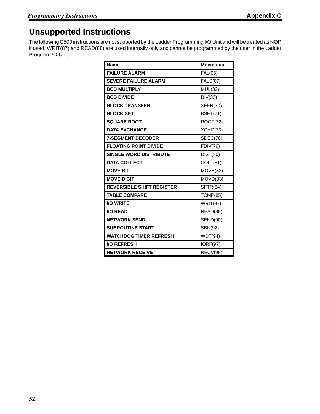## **Unsupported Instructions**

The following C500 instructions are not supported by the Ladder Programming I/O Unit and will be treated as NOP if used. WRIT(87) and READ(88) are used internally only and cannot be programmed by the user in the Ladder Program I/O Unit.

| <b>Name</b>                      | <b>Mnemonic</b> |
|----------------------------------|-----------------|
| <b>FAILURE ALARM</b>             | <b>FAL(06)</b>  |
| <b>SEVERE FAILURE ALARM</b>      | <b>FALS(07)</b> |
| <b>BCD MULTIPLY</b>              | MUL(32)         |
| <b>BCD DIVIDE</b>                | DIV(33)         |
| <b>BLOCK TRANSFER</b>            | XFER(70)        |
| <b>BLOCK SET</b>                 | <b>BSET(71)</b> |
| <b>SQUARE ROOT</b>               | <b>ROOT(72)</b> |
| <b>DATA EXCHANGE</b>             | XCHG(73)        |
| <b>7-SEGMENT DECODER</b>         | SDEC(78)        |
| <b>FLOATING POINT DIVIDE</b>     | <b>FDIV(79)</b> |
| <b>SINGLE WORD DISTRIBUTE</b>    | <b>DIST(80)</b> |
| <b>DATA COLLECT</b>              | COLL(81)        |
| <b>MOVE BIT</b>                  | MOVB(82)        |
| <b>MOVE DIGIT</b>                | MOVD(83)        |
| <b>REVERSIBLE SHIFT REGISTER</b> | SFTR(84)        |
| <b>TABLE COMPARE</b>             | <b>TCMP(85)</b> |
| <b>I/O WRITE</b>                 | <b>WRIT(87)</b> |
| <b>I/O READ</b>                  | READ(88)        |
| <b>NETWORK SEND</b>              | <b>SEND(90)</b> |
| <b>SUBROUTINE START</b>          | SBN(92)         |
| <b>WATCHDOG TIMER REFRESH</b>    | WDT(94)         |
| <b>I/O REFRESH</b>               | <b>IORF(97)</b> |
| <b>NETWORK RECEIVE</b>           | RECV(98)        |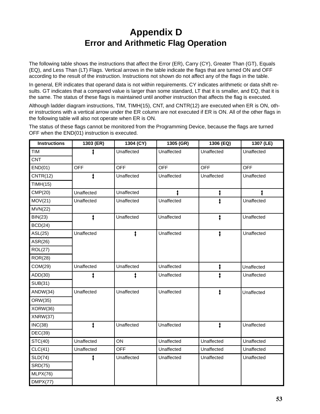# **Appendix D Error and Arithmetic Flag Operation**

The following table shows the instructions that affect the Error (ER), Carry (CY), Greater Than (GT), Equals (EQ), and Less Than (LT) Flags. Vertical arrows in the table indicate the flags that are turned ON and OFF according to the result of the instruction. Instructions not shown do not affect any of the flags in the table.

In general, ER indicates that operand data is not within requirements. CY indicates arithmetic or data shift results. GT indicates that a compared value is larger than some standard, LT that it is smaller, and EQ, that it is the same. The status of these flags is maintained until another instruction that affects the flag is executed.

Although ladder diagram instructions, TIM, TIMH(15), CNT, and CNTR(12) are executed when ER is ON, other instructions with a vertical arrow under the ER column are not executed if ER is ON. All of the other flags in the following table will also not operate when ER is ON.

The status of these flags cannot be monitored from the Programming Device, because the flags are turned OFF when the END(01) instruction is executed.

| <b>Instructions</b> | 1303 (ER)  | 1304 (CY)  | 1305 (GR)  | 1306 (EQ)  | 1307 (LE)  |
|---------------------|------------|------------|------------|------------|------------|
| <b>TIM</b>          |            | Unaffected | Unaffected | Unaffected | Unaffected |
| <b>CNT</b>          |            |            |            |            |            |
| END(01)             | <b>OFF</b> | <b>OFF</b> | <b>OFF</b> | <b>OFF</b> | <b>OFF</b> |
| CNTR(12)            |            | Unaffected | Unaffected | Unaffected | Unaffected |
| TIMH(15)            |            |            |            |            |            |
| CMP(20)             | Unaffected | Unaffected |            | ŧ          |            |
| MOV(21)             | Unaffected | Unaffected | Unaffected |            | Unaffected |
| MVN(22)             |            |            |            |            |            |
| BIN(23)             |            | Unaffected | Unaffected |            | Unaffected |
| BCD(24)             |            |            |            |            |            |
| ASL(25)             | Unaffected |            | Unaffected | ŧ          | Unaffected |
| ASR(26)             |            |            |            |            |            |
| <b>ROL(27)</b>      |            |            |            |            |            |
| <b>ROR(28)</b>      |            |            |            |            |            |
| COM(29)             | Unaffected | Unaffected | Unaffected | ŧ          | Unaffected |
| ADD(30)             |            |            | Unaffected |            | Unaffected |
| <b>SUB(31)</b>      |            |            |            |            |            |
| ANDW(34)            | Unaffected | Unaffected | Unaffected | ŧ          | Unaffected |
| ORW(35)             |            |            |            |            |            |
| XORW(36)            |            |            |            |            |            |
| XNRW(37)            |            |            |            |            |            |
| INC(38)             |            | Unaffected | Unaffected | ŧ          | Unaffected |
| DEC(39)             |            |            |            |            |            |
| STC(40)             | Unaffected | ON         | Unaffected | Unaffected | Unaffected |
| CLC(41)             | Unaffected | <b>OFF</b> | Unaffected | Unaffected | Unaffected |
| SLD(74)             |            | Unaffected | Unaffected | Unaffected | Unaffected |
| <b>SRD(75)</b>      |            |            |            |            |            |
| MLPX(76)            |            |            |            |            |            |
| DMPX(77)            |            |            |            |            |            |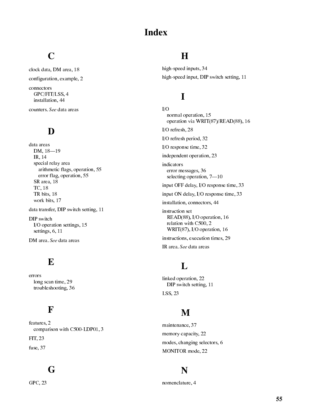## **Index**

# $\mathbf C$

clock data, DM area, 18 configuration, example, 2 connectors GPC/FIT/LSS, 4 installation, 44

counters. See data areas

### D

data areas DM,  $18 - 19$ IR, 14 special relay area arithmetic flags, operation, 55 error flag, operation, 55 SR area, 18 TC, 18 TR bits, 18 work bits, 17

data transfer, DIP switch setting, 11

DIP switch I/O operation settings, 15 settings, 6, 11

DM area. See data areas

#### E

errors long scan time, 29 troubleshooting, 36

#### F

features. 2 comparison with C500-LDP01, 3 FIT, 23

fuse, 37

## G

GPC, 23

#### $\bf H$

high-speed inputs, 34 high-speed input, DIP switch setting, 11

# $\mathbf I$

 $I/O$ normal operation, 15 operation via WRIT(87)/READ(88), 16 I/O refresh, 28 I/O refresh period, 32 I/O response time,  $32$ independent operation, 23 indicators error messages, 36 selecting operation,  $7-10$ input OFF delay, I/O response time, 33 input ON delay, I/O response time, 33 installation, connectors, 44 instruction set READ(88), I/O operation, 16 relation with C500, 2 WRIT(87), I/O operation, 16 instructions, execution times, 29 IR area. See data areas

# L

linked operation, 22 DIP switch setting, 11 LSS, 23

# M

maintenance, 37 memory capacity, 22 modes, changing selectors, 6 MONITOR mode, 22

#### N

nomenclature, 4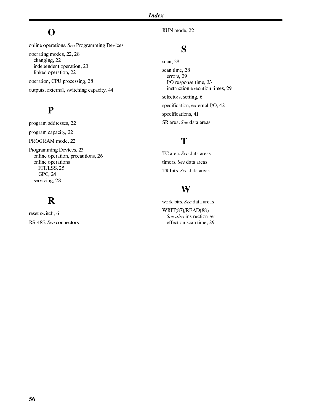**Index** 

## $\mathbf{O}$

online operations. See Programming Devices operating modes, 22, 28 changing, 22

independent operation, 23 linked operation, 22

operation, CPU processing, 28 outputs, external, switching capacity, 44

## $\mathbf{P}$

program addresses, 22 program capacity, 22 PROGRAM mode, 22 Programming Devices, 23

online operation, precautions, 26 online operations FIT/LSS, 25 GPC, 24 servicing, 28

# $\mathbf R$

reset switch, 6 RS-485. See connectors RUN mode, 22

## S

scan, 28 scan time, 28 errors, 29 I/O response time, 33 instruction execution times, 29 selectors, setting, 6 specification, external I/O, 42 specifications, 41 SR area. See data areas

# T

TC area. See data areas timers. See data areas TR bits. See data areas

## W

work bits. See data areas  $WRIT(87)/READ(88)$ See also instruction set effect on scan time, 29